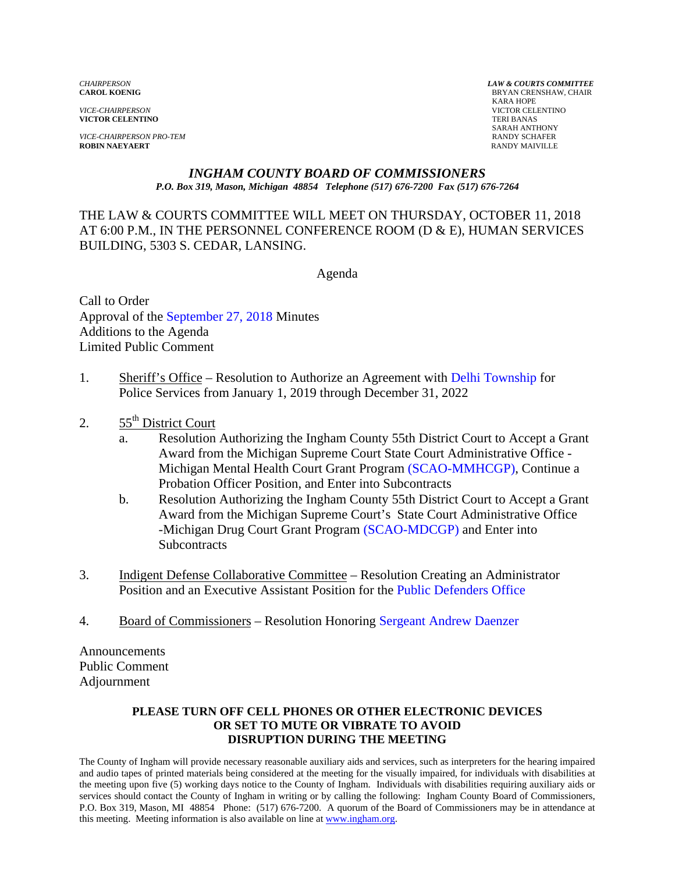*VICE-CHAIRPERSON* VICTOR CELENTINO **VICTOR CELENTINO** 

*VICE-CHAIRPERSON PRO-TEM* **RANDY SCHAFER**<br> **ROBIN NAEYAERT ROBIN RANDY MAIVILLE ROBIN NAEYAERT** 

*CHAIRPERSON LAW & COURTS COMMITTEE* **BRYAN CRENSHAW, CHAIR**  KARA HOPE SARAH ANTHONY

#### *INGHAM COUNTY BOARD OF COMMISSIONERS P.O. Box 319, Mason, Michigan 48854 Telephone (517) 676-7200 Fax (517) 676-7264*

THE LAW & COURTS COMMITTEE WILL MEET ON THURSDAY, OCTOBER 11, 2018 AT 6:00 P.M., IN THE PERSONNEL CONFERENCE ROOM (D & E), HUMAN SERVICES BUILDING, 5303 S. CEDAR, LANSING.

Agenda

Call to Order Approval of [the September 27, 2018 Minutes](#page-1-0)  Additions to the Agenda Limited Public Comment

- 1. Sheriff's Office Resolution to Authorize an Agreement [with Delhi Township for](#page-18-0) Police Services from January 1, 2019 through December 31, 2022
- 2.  $55<sup>th</sup>$  District Court
	- a. Resolution Authorizing the Ingham County 55th District Court to Accept a Grant Award from the Michigan Supreme Court [State Court Administrative Of](#page-21-0)fice - Michigan Mental Health Court Grant Program (SCAO-MMHCGP), Continue a Probation Officer Position, and Enter into Subcontracts
	- b. Resolution Authorizing the Ingham County 55th District Court to Accept a Grant Award from the Michigan Supreme Court's State Court Administrative Office -Michigan Drug Court Grant Prog[ram \(SCAO-MDCGP\) and Ent](#page-24-0)er into **Subcontracts**
- 3. Indigent Defense Collaborative Committee Resolution Creating an Administrator Position and an Executive Assistant Position [for the Public Defenders Office](#page-27-0)
- 4. Board of Commissioners Resolution Honori[ng Sergeant Andrew Daenzer](#page-35-0)

Announcements Public Comment Adjournment

#### **PLEASE TURN OFF CELL PHONES OR OTHER ELECTRONIC DEVICES OR SET TO MUTE OR VIBRATE TO AVOID DISRUPTION DURING THE MEETING**

The County of Ingham will provide necessary reasonable auxiliary aids and services, such as interpreters for the hearing impaired and audio tapes of printed materials being considered at the meeting for the visually impaired, for individuals with disabilities at the meeting upon five (5) working days notice to the County of Ingham. Individuals with disabilities requiring auxiliary aids or services should contact the County of Ingham in writing or by calling the following: Ingham County Board of Commissioners, P.O. Box 319, Mason, MI 48854 Phone: (517) 676-7200. A quorum of the Board of Commissioners may be in attendance at this meeting. Meeting information is also available on line at www.ingham.org.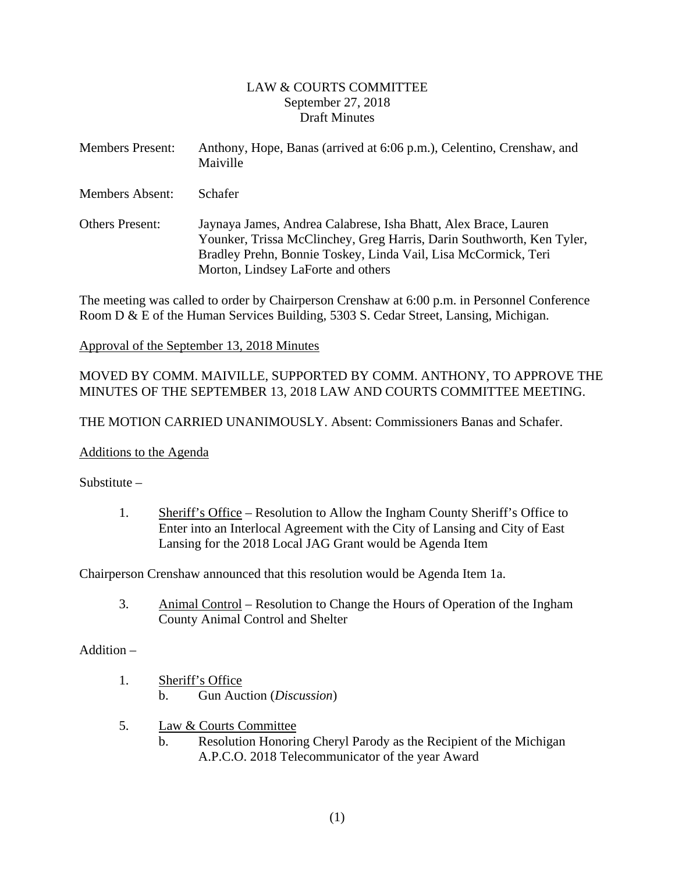#### LAW & COURTS COMMITTEE September 27, 2018 Draft Minutes

<span id="page-1-0"></span>

| <b>Members Present:</b> | Anthony, Hope, Banas (arrived at 6:06 p.m.), Celentino, Crenshaw, and<br>Maiville                                                                                                                                                                |
|-------------------------|--------------------------------------------------------------------------------------------------------------------------------------------------------------------------------------------------------------------------------------------------|
| <b>Members Absent:</b>  | Schafer                                                                                                                                                                                                                                          |
| <b>Others Present:</b>  | Jaynaya James, Andrea Calabrese, Isha Bhatt, Alex Brace, Lauren<br>Younker, Trissa McClinchey, Greg Harris, Darin Southworth, Ken Tyler,<br>Bradley Prehn, Bonnie Toskey, Linda Vail, Lisa McCormick, Teri<br>Morton, Lindsey LaForte and others |

The meeting was called to order by Chairperson Crenshaw at 6:00 p.m. in Personnel Conference Room D & E of the Human Services Building, 5303 S. Cedar Street, Lansing, Michigan.

#### Approval of the September 13, 2018 Minutes

# MOVED BY COMM. MAIVILLE, SUPPORTED BY COMM. ANTHONY, TO APPROVE THE MINUTES OF THE SEPTEMBER 13, 2018 LAW AND COURTS COMMITTEE MEETING.

THE MOTION CARRIED UNANIMOUSLY. Absent: Commissioners Banas and Schafer.

#### Additions to the Agenda

Substitute –

1. Sheriff's Office – Resolution to Allow the Ingham County Sheriff's Office to Enter into an Interlocal Agreement with the City of Lansing and City of East Lansing for the 2018 Local JAG Grant would be Agenda Item

Chairperson Crenshaw announced that this resolution would be Agenda Item 1a.

3. Animal Control – Resolution to Change the Hours of Operation of the Ingham County Animal Control and Shelter

#### Addition –

- 1. Sheriff's Office b. Gun Auction (*Discussion*)
- 5. Law & Courts Committee
	- b. Resolution Honoring Cheryl Parody as the Recipient of the Michigan A.P.C.O. 2018 Telecommunicator of the year Award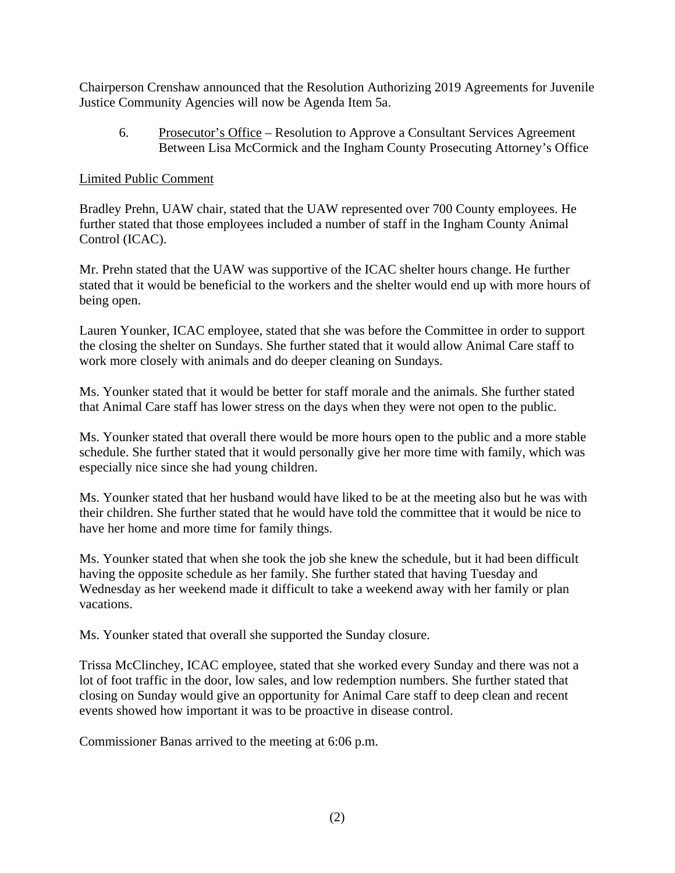Chairperson Crenshaw announced that the Resolution Authorizing 2019 Agreements for Juvenile Justice Community Agencies will now be Agenda Item 5a.

6. Prosecutor's Office – Resolution to Approve a Consultant Services Agreement Between Lisa McCormick and the Ingham County Prosecuting Attorney's Office

#### Limited Public Comment

Bradley Prehn, UAW chair, stated that the UAW represented over 700 County employees. He further stated that those employees included a number of staff in the Ingham County Animal Control (ICAC).

Mr. Prehn stated that the UAW was supportive of the ICAC shelter hours change. He further stated that it would be beneficial to the workers and the shelter would end up with more hours of being open.

Lauren Younker, ICAC employee, stated that she was before the Committee in order to support the closing the shelter on Sundays. She further stated that it would allow Animal Care staff to work more closely with animals and do deeper cleaning on Sundays.

Ms. Younker stated that it would be better for staff morale and the animals. She further stated that Animal Care staff has lower stress on the days when they were not open to the public.

Ms. Younker stated that overall there would be more hours open to the public and a more stable schedule. She further stated that it would personally give her more time with family, which was especially nice since she had young children.

Ms. Younker stated that her husband would have liked to be at the meeting also but he was with their children. She further stated that he would have told the committee that it would be nice to have her home and more time for family things.

Ms. Younker stated that when she took the job she knew the schedule, but it had been difficult having the opposite schedule as her family. She further stated that having Tuesday and Wednesday as her weekend made it difficult to take a weekend away with her family or plan vacations.

Ms. Younker stated that overall she supported the Sunday closure.

Trissa McClinchey, ICAC employee, stated that she worked every Sunday and there was not a lot of foot traffic in the door, low sales, and low redemption numbers. She further stated that closing on Sunday would give an opportunity for Animal Care staff to deep clean and recent events showed how important it was to be proactive in disease control.

Commissioner Banas arrived to the meeting at 6:06 p.m.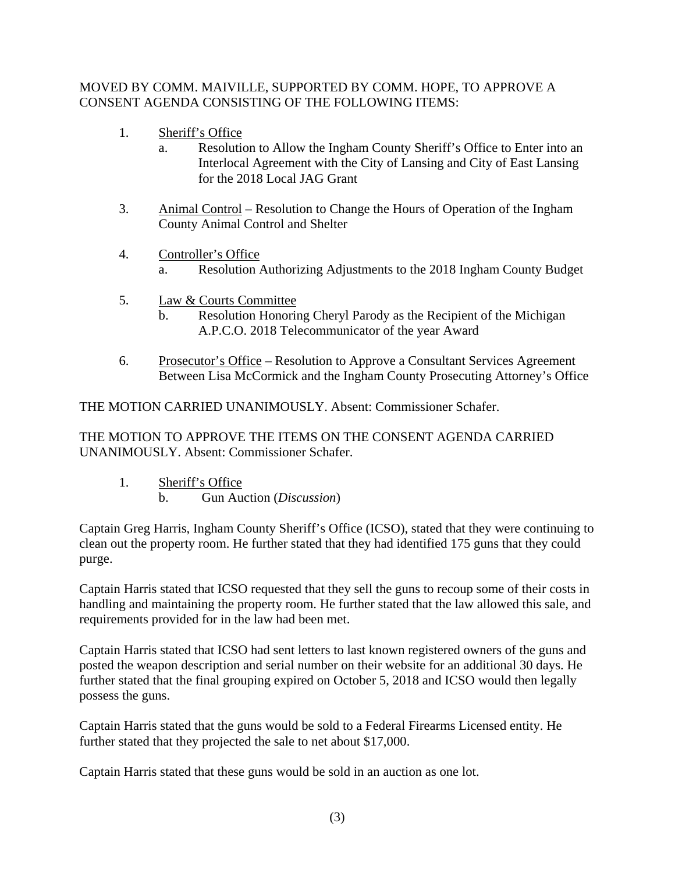# MOVED BY COMM. MAIVILLE, SUPPORTED BY COMM. HOPE, TO APPROVE A CONSENT AGENDA CONSISTING OF THE FOLLOWING ITEMS:

- 1. Sheriff's Office
	- a. Resolution to Allow the Ingham County Sheriff's Office to Enter into an Interlocal Agreement with the City of Lansing and City of East Lansing for the 2018 Local JAG Grant
- 3. Animal Control Resolution to Change the Hours of Operation of the Ingham County Animal Control and Shelter
- 4. Controller's Office
	- a. Resolution Authorizing Adjustments to the 2018 Ingham County Budget
- 5. Law & Courts Committee
	- b. Resolution Honoring Cheryl Parody as the Recipient of the Michigan A.P.C.O. 2018 Telecommunicator of the year Award
- 6. Prosecutor's Office Resolution to Approve a Consultant Services Agreement Between Lisa McCormick and the Ingham County Prosecuting Attorney's Office

THE MOTION CARRIED UNANIMOUSLY. Absent: Commissioner Schafer.

THE MOTION TO APPROVE THE ITEMS ON THE CONSENT AGENDA CARRIED UNANIMOUSLY. Absent: Commissioner Schafer.

- 1. Sheriff's Office
	- b. Gun Auction (*Discussion*)

Captain Greg Harris, Ingham County Sheriff's Office (ICSO), stated that they were continuing to clean out the property room. He further stated that they had identified 175 guns that they could purge.

Captain Harris stated that ICSO requested that they sell the guns to recoup some of their costs in handling and maintaining the property room. He further stated that the law allowed this sale, and requirements provided for in the law had been met.

Captain Harris stated that ICSO had sent letters to last known registered owners of the guns and posted the weapon description and serial number on their website for an additional 30 days. He further stated that the final grouping expired on October 5, 2018 and ICSO would then legally possess the guns.

Captain Harris stated that the guns would be sold to a Federal Firearms Licensed entity. He further stated that they projected the sale to net about \$17,000.

Captain Harris stated that these guns would be sold in an auction as one lot.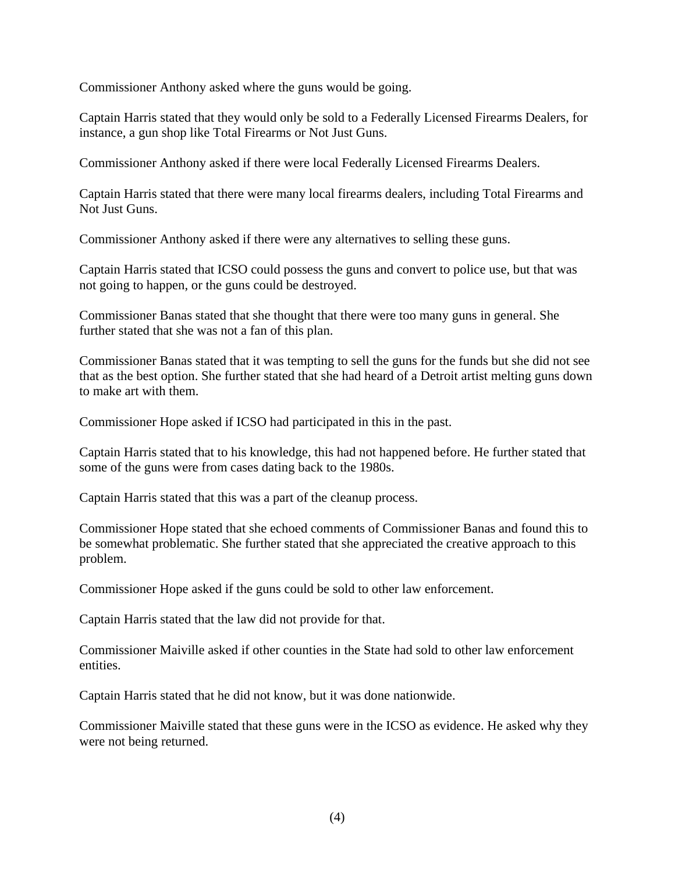Commissioner Anthony asked where the guns would be going.

Captain Harris stated that they would only be sold to a Federally Licensed Firearms Dealers, for instance, a gun shop like Total Firearms or Not Just Guns.

Commissioner Anthony asked if there were local Federally Licensed Firearms Dealers.

Captain Harris stated that there were many local firearms dealers, including Total Firearms and Not Just Guns.

Commissioner Anthony asked if there were any alternatives to selling these guns.

Captain Harris stated that ICSO could possess the guns and convert to police use, but that was not going to happen, or the guns could be destroyed.

Commissioner Banas stated that she thought that there were too many guns in general. She further stated that she was not a fan of this plan.

Commissioner Banas stated that it was tempting to sell the guns for the funds but she did not see that as the best option. She further stated that she had heard of a Detroit artist melting guns down to make art with them.

Commissioner Hope asked if ICSO had participated in this in the past.

Captain Harris stated that to his knowledge, this had not happened before. He further stated that some of the guns were from cases dating back to the 1980s.

Captain Harris stated that this was a part of the cleanup process.

Commissioner Hope stated that she echoed comments of Commissioner Banas and found this to be somewhat problematic. She further stated that she appreciated the creative approach to this problem.

Commissioner Hope asked if the guns could be sold to other law enforcement.

Captain Harris stated that the law did not provide for that.

Commissioner Maiville asked if other counties in the State had sold to other law enforcement entities.

Captain Harris stated that he did not know, but it was done nationwide.

Commissioner Maiville stated that these guns were in the ICSO as evidence. He asked why they were not being returned.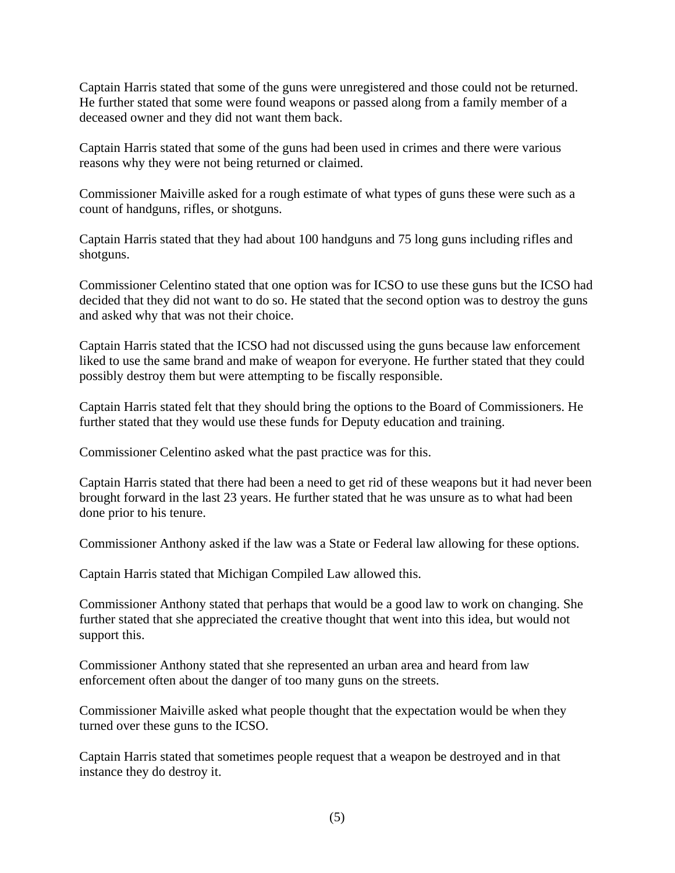Captain Harris stated that some of the guns were unregistered and those could not be returned. He further stated that some were found weapons or passed along from a family member of a deceased owner and they did not want them back.

Captain Harris stated that some of the guns had been used in crimes and there were various reasons why they were not being returned or claimed.

Commissioner Maiville asked for a rough estimate of what types of guns these were such as a count of handguns, rifles, or shotguns.

Captain Harris stated that they had about 100 handguns and 75 long guns including rifles and shotguns.

Commissioner Celentino stated that one option was for ICSO to use these guns but the ICSO had decided that they did not want to do so. He stated that the second option was to destroy the guns and asked why that was not their choice.

Captain Harris stated that the ICSO had not discussed using the guns because law enforcement liked to use the same brand and make of weapon for everyone. He further stated that they could possibly destroy them but were attempting to be fiscally responsible.

Captain Harris stated felt that they should bring the options to the Board of Commissioners. He further stated that they would use these funds for Deputy education and training.

Commissioner Celentino asked what the past practice was for this.

Captain Harris stated that there had been a need to get rid of these weapons but it had never been brought forward in the last 23 years. He further stated that he was unsure as to what had been done prior to his tenure.

Commissioner Anthony asked if the law was a State or Federal law allowing for these options.

Captain Harris stated that Michigan Compiled Law allowed this.

Commissioner Anthony stated that perhaps that would be a good law to work on changing. She further stated that she appreciated the creative thought that went into this idea, but would not support this.

Commissioner Anthony stated that she represented an urban area and heard from law enforcement often about the danger of too many guns on the streets.

Commissioner Maiville asked what people thought that the expectation would be when they turned over these guns to the ICSO.

Captain Harris stated that sometimes people request that a weapon be destroyed and in that instance they do destroy it.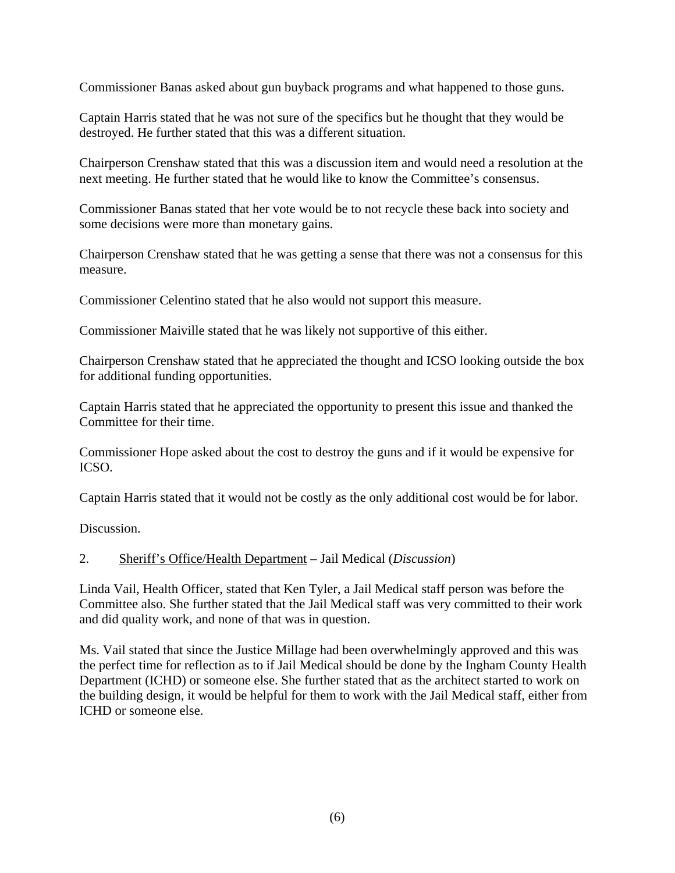Commissioner Banas asked about gun buyback programs and what happened to those guns.

Captain Harris stated that he was not sure of the specifics but he thought that they would be destroyed. He further stated that this was a different situation.

Chairperson Crenshaw stated that this was a discussion item and would need a resolution at the next meeting. He further stated that he would like to know the Committee's consensus.

Commissioner Banas stated that her vote would be to not recycle these back into society and some decisions were more than monetary gains.

Chairperson Crenshaw stated that he was getting a sense that there was not a consensus for this measure.

Commissioner Celentino stated that he also would not support this measure.

Commissioner Maiville stated that he was likely not supportive of this either.

Chairperson Crenshaw stated that he appreciated the thought and ICSO looking outside the box for additional funding opportunities.

Captain Harris stated that he appreciated the opportunity to present this issue and thanked the Committee for their time.

Commissioner Hope asked about the cost to destroy the guns and if it would be expensive for ICSO.

Captain Harris stated that it would not be costly as the only additional cost would be for labor.

Discussion.

# 2. Sheriff's Office/Health Department – Jail Medical (*Discussion*)

Linda Vail, Health Officer, stated that Ken Tyler, a Jail Medical staff person was before the Committee also. She further stated that the Jail Medical staff was very committed to their work and did quality work, and none of that was in question.

Ms. Vail stated that since the Justice Millage had been overwhelmingly approved and this was the perfect time for reflection as to if Jail Medical should be done by the Ingham County Health Department (ICHD) or someone else. She further stated that as the architect started to work on the building design, it would be helpful for them to work with the Jail Medical staff, either from ICHD or someone else.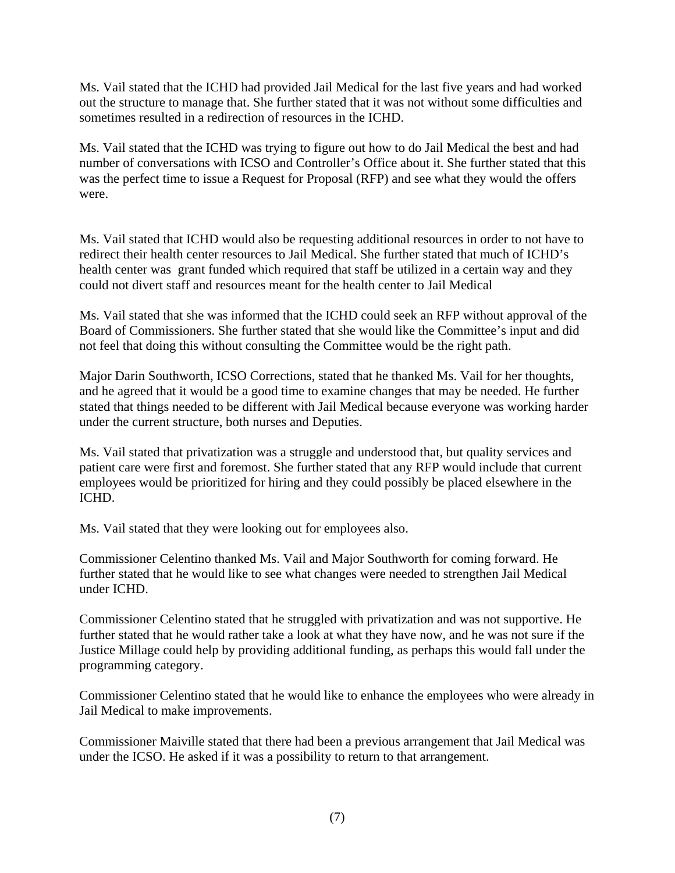Ms. Vail stated that the ICHD had provided Jail Medical for the last five years and had worked out the structure to manage that. She further stated that it was not without some difficulties and sometimes resulted in a redirection of resources in the ICHD.

Ms. Vail stated that the ICHD was trying to figure out how to do Jail Medical the best and had number of conversations with ICSO and Controller's Office about it. She further stated that this was the perfect time to issue a Request for Proposal (RFP) and see what they would the offers were.

Ms. Vail stated that ICHD would also be requesting additional resources in order to not have to redirect their health center resources to Jail Medical. She further stated that much of ICHD's health center was grant funded which required that staff be utilized in a certain way and they could not divert staff and resources meant for the health center to Jail Medical

Ms. Vail stated that she was informed that the ICHD could seek an RFP without approval of the Board of Commissioners. She further stated that she would like the Committee's input and did not feel that doing this without consulting the Committee would be the right path.

Major Darin Southworth, ICSO Corrections, stated that he thanked Ms. Vail for her thoughts, and he agreed that it would be a good time to examine changes that may be needed. He further stated that things needed to be different with Jail Medical because everyone was working harder under the current structure, both nurses and Deputies.

Ms. Vail stated that privatization was a struggle and understood that, but quality services and patient care were first and foremost. She further stated that any RFP would include that current employees would be prioritized for hiring and they could possibly be placed elsewhere in the ICHD.

Ms. Vail stated that they were looking out for employees also.

Commissioner Celentino thanked Ms. Vail and Major Southworth for coming forward. He further stated that he would like to see what changes were needed to strengthen Jail Medical under ICHD.

Commissioner Celentino stated that he struggled with privatization and was not supportive. He further stated that he would rather take a look at what they have now, and he was not sure if the Justice Millage could help by providing additional funding, as perhaps this would fall under the programming category.

Commissioner Celentino stated that he would like to enhance the employees who were already in Jail Medical to make improvements.

Commissioner Maiville stated that there had been a previous arrangement that Jail Medical was under the ICSO. He asked if it was a possibility to return to that arrangement.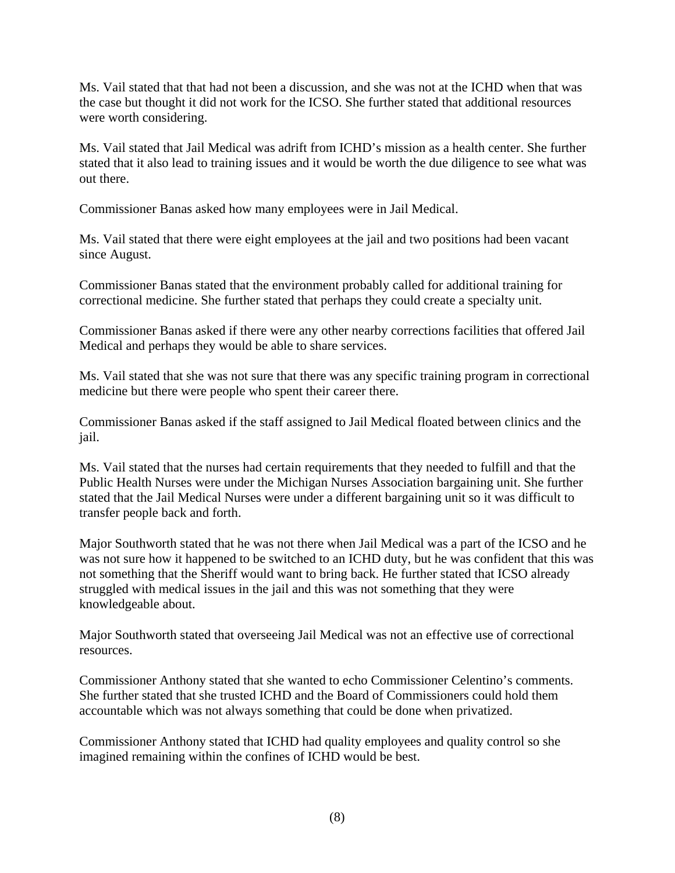Ms. Vail stated that that had not been a discussion, and she was not at the ICHD when that was the case but thought it did not work for the ICSO. She further stated that additional resources were worth considering.

Ms. Vail stated that Jail Medical was adrift from ICHD's mission as a health center. She further stated that it also lead to training issues and it would be worth the due diligence to see what was out there.

Commissioner Banas asked how many employees were in Jail Medical.

Ms. Vail stated that there were eight employees at the jail and two positions had been vacant since August.

Commissioner Banas stated that the environment probably called for additional training for correctional medicine. She further stated that perhaps they could create a specialty unit.

Commissioner Banas asked if there were any other nearby corrections facilities that offered Jail Medical and perhaps they would be able to share services.

Ms. Vail stated that she was not sure that there was any specific training program in correctional medicine but there were people who spent their career there.

Commissioner Banas asked if the staff assigned to Jail Medical floated between clinics and the jail.

Ms. Vail stated that the nurses had certain requirements that they needed to fulfill and that the Public Health Nurses were under the Michigan Nurses Association bargaining unit. She further stated that the Jail Medical Nurses were under a different bargaining unit so it was difficult to transfer people back and forth.

Major Southworth stated that he was not there when Jail Medical was a part of the ICSO and he was not sure how it happened to be switched to an ICHD duty, but he was confident that this was not something that the Sheriff would want to bring back. He further stated that ICSO already struggled with medical issues in the jail and this was not something that they were knowledgeable about.

Major Southworth stated that overseeing Jail Medical was not an effective use of correctional resources.

Commissioner Anthony stated that she wanted to echo Commissioner Celentino's comments. She further stated that she trusted ICHD and the Board of Commissioners could hold them accountable which was not always something that could be done when privatized.

Commissioner Anthony stated that ICHD had quality employees and quality control so she imagined remaining within the confines of ICHD would be best.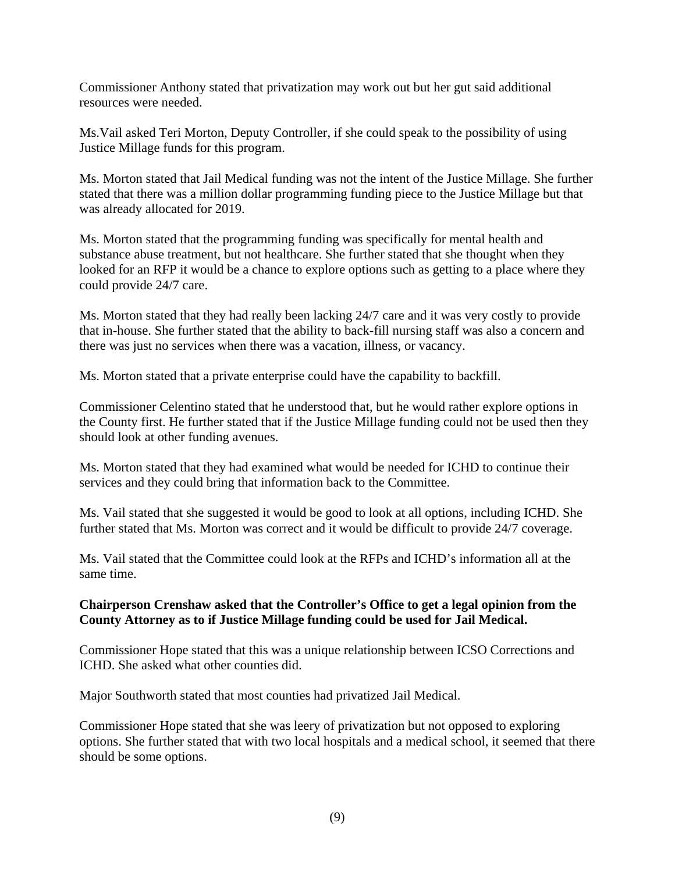Commissioner Anthony stated that privatization may work out but her gut said additional resources were needed.

Ms.Vail asked Teri Morton, Deputy Controller, if she could speak to the possibility of using Justice Millage funds for this program.

Ms. Morton stated that Jail Medical funding was not the intent of the Justice Millage. She further stated that there was a million dollar programming funding piece to the Justice Millage but that was already allocated for 2019.

Ms. Morton stated that the programming funding was specifically for mental health and substance abuse treatment, but not healthcare. She further stated that she thought when they looked for an RFP it would be a chance to explore options such as getting to a place where they could provide 24/7 care.

Ms. Morton stated that they had really been lacking 24/7 care and it was very costly to provide that in-house. She further stated that the ability to back-fill nursing staff was also a concern and there was just no services when there was a vacation, illness, or vacancy.

Ms. Morton stated that a private enterprise could have the capability to backfill.

Commissioner Celentino stated that he understood that, but he would rather explore options in the County first. He further stated that if the Justice Millage funding could not be used then they should look at other funding avenues.

Ms. Morton stated that they had examined what would be needed for ICHD to continue their services and they could bring that information back to the Committee.

Ms. Vail stated that she suggested it would be good to look at all options, including ICHD. She further stated that Ms. Morton was correct and it would be difficult to provide 24/7 coverage.

Ms. Vail stated that the Committee could look at the RFPs and ICHD's information all at the same time.

# **Chairperson Crenshaw asked that the Controller's Office to get a legal opinion from the County Attorney as to if Justice Millage funding could be used for Jail Medical.**

Commissioner Hope stated that this was a unique relationship between ICSO Corrections and ICHD. She asked what other counties did.

Major Southworth stated that most counties had privatized Jail Medical.

Commissioner Hope stated that she was leery of privatization but not opposed to exploring options. She further stated that with two local hospitals and a medical school, it seemed that there should be some options.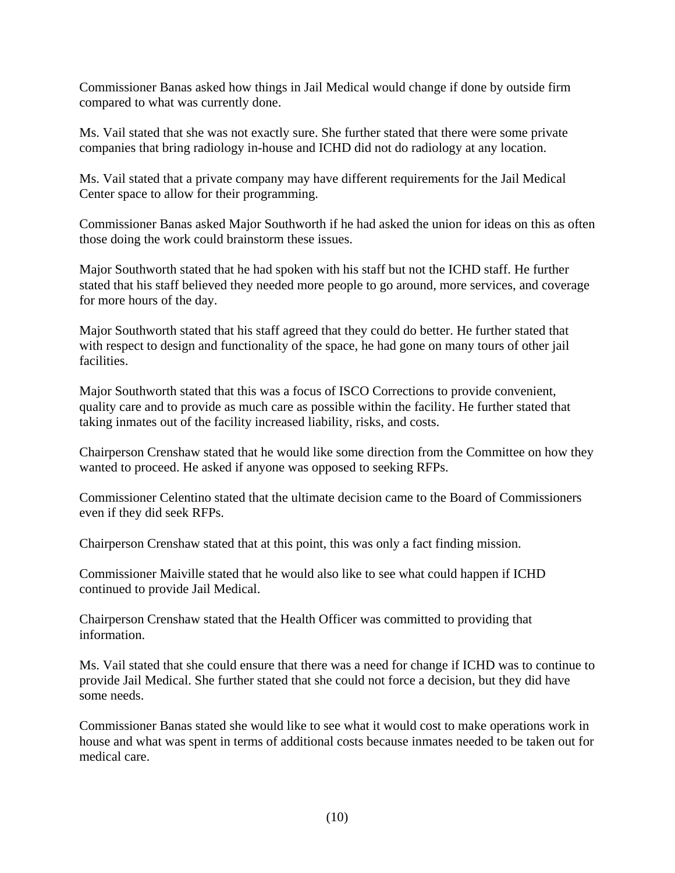Commissioner Banas asked how things in Jail Medical would change if done by outside firm compared to what was currently done.

Ms. Vail stated that she was not exactly sure. She further stated that there were some private companies that bring radiology in-house and ICHD did not do radiology at any location.

Ms. Vail stated that a private company may have different requirements for the Jail Medical Center space to allow for their programming.

Commissioner Banas asked Major Southworth if he had asked the union for ideas on this as often those doing the work could brainstorm these issues.

Major Southworth stated that he had spoken with his staff but not the ICHD staff. He further stated that his staff believed they needed more people to go around, more services, and coverage for more hours of the day.

Major Southworth stated that his staff agreed that they could do better. He further stated that with respect to design and functionality of the space, he had gone on many tours of other jail facilities.

Major Southworth stated that this was a focus of ISCO Corrections to provide convenient, quality care and to provide as much care as possible within the facility. He further stated that taking inmates out of the facility increased liability, risks, and costs.

Chairperson Crenshaw stated that he would like some direction from the Committee on how they wanted to proceed. He asked if anyone was opposed to seeking RFPs.

Commissioner Celentino stated that the ultimate decision came to the Board of Commissioners even if they did seek RFPs.

Chairperson Crenshaw stated that at this point, this was only a fact finding mission.

Commissioner Maiville stated that he would also like to see what could happen if ICHD continued to provide Jail Medical.

Chairperson Crenshaw stated that the Health Officer was committed to providing that information.

Ms. Vail stated that she could ensure that there was a need for change if ICHD was to continue to provide Jail Medical. She further stated that she could not force a decision, but they did have some needs.

Commissioner Banas stated she would like to see what it would cost to make operations work in house and what was spent in terms of additional costs because inmates needed to be taken out for medical care.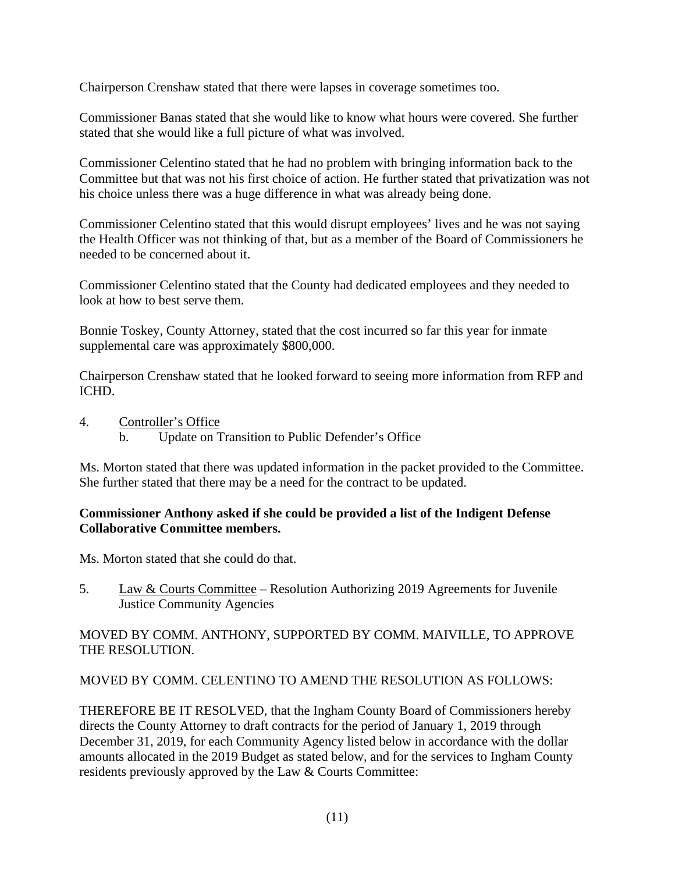Chairperson Crenshaw stated that there were lapses in coverage sometimes too.

Commissioner Banas stated that she would like to know what hours were covered. She further stated that she would like a full picture of what was involved.

Commissioner Celentino stated that he had no problem with bringing information back to the Committee but that was not his first choice of action. He further stated that privatization was not his choice unless there was a huge difference in what was already being done.

Commissioner Celentino stated that this would disrupt employees' lives and he was not saying the Health Officer was not thinking of that, but as a member of the Board of Commissioners he needed to be concerned about it.

Commissioner Celentino stated that the County had dedicated employees and they needed to look at how to best serve them.

Bonnie Toskey, County Attorney, stated that the cost incurred so far this year for inmate supplemental care was approximately \$800,000.

Chairperson Crenshaw stated that he looked forward to seeing more information from RFP and ICHD.

- 4. Controller's Office
	- b. Update on Transition to Public Defender's Office

Ms. Morton stated that there was updated information in the packet provided to the Committee. She further stated that there may be a need for the contract to be updated.

#### **Commissioner Anthony asked if she could be provided a list of the Indigent Defense Collaborative Committee members.**

Ms. Morton stated that she could do that.

5. Law & Courts Committee – Resolution Authorizing 2019 Agreements for Juvenile Justice Community Agencies

# MOVED BY COMM. ANTHONY, SUPPORTED BY COMM. MAIVILLE, TO APPROVE THE RESOLUTION.

# MOVED BY COMM. CELENTINO TO AMEND THE RESOLUTION AS FOLLOWS:

THEREFORE BE IT RESOLVED, that the Ingham County Board of Commissioners hereby directs the County Attorney to draft contracts for the period of January 1, 2019 through December 31, 2019, for each Community Agency listed below in accordance with the dollar amounts allocated in the 2019 Budget as stated below, and for the services to Ingham County residents previously approved by the Law & Courts Committee: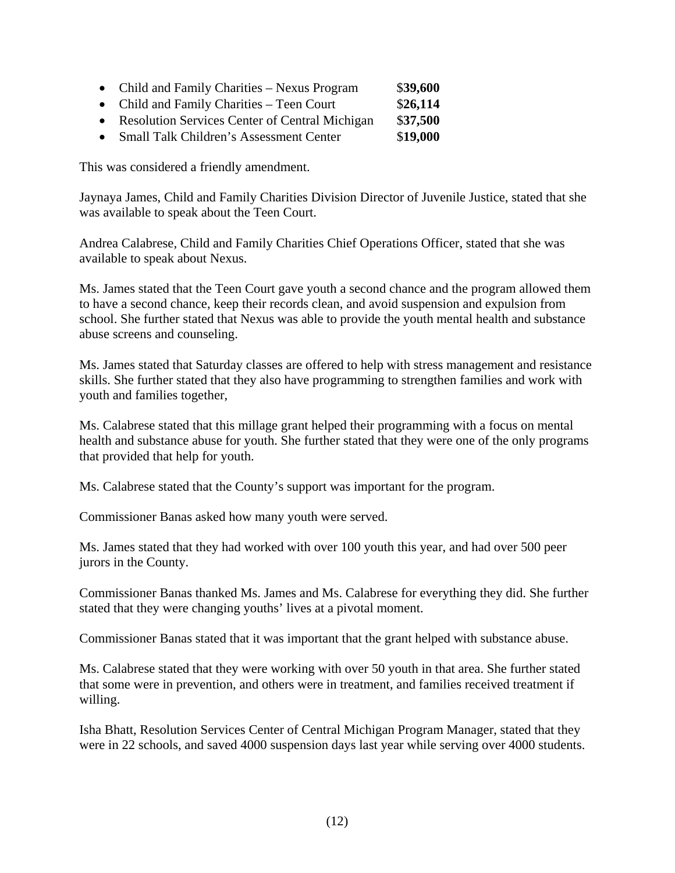- Child and Family Charities Nexus Program \$39,600
- Child and Family Charities Teen Court \$26,114
- Resolution Services Center of Central Michigan \$**37,500**
- Small Talk Children's Assessment Center \$19,000

This was considered a friendly amendment.

Jaynaya James, Child and Family Charities Division Director of Juvenile Justice, stated that she was available to speak about the Teen Court.

Andrea Calabrese, Child and Family Charities Chief Operations Officer, stated that she was available to speak about Nexus.

Ms. James stated that the Teen Court gave youth a second chance and the program allowed them to have a second chance, keep their records clean, and avoid suspension and expulsion from school. She further stated that Nexus was able to provide the youth mental health and substance abuse screens and counseling.

Ms. James stated that Saturday classes are offered to help with stress management and resistance skills. She further stated that they also have programming to strengthen families and work with youth and families together,

Ms. Calabrese stated that this millage grant helped their programming with a focus on mental health and substance abuse for youth. She further stated that they were one of the only programs that provided that help for youth.

Ms. Calabrese stated that the County's support was important for the program.

Commissioner Banas asked how many youth were served.

Ms. James stated that they had worked with over 100 youth this year, and had over 500 peer jurors in the County.

Commissioner Banas thanked Ms. James and Ms. Calabrese for everything they did. She further stated that they were changing youths' lives at a pivotal moment.

Commissioner Banas stated that it was important that the grant helped with substance abuse.

Ms. Calabrese stated that they were working with over 50 youth in that area. She further stated that some were in prevention, and others were in treatment, and families received treatment if willing.

Isha Bhatt, Resolution Services Center of Central Michigan Program Manager, stated that they were in 22 schools, and saved 4000 suspension days last year while serving over 4000 students.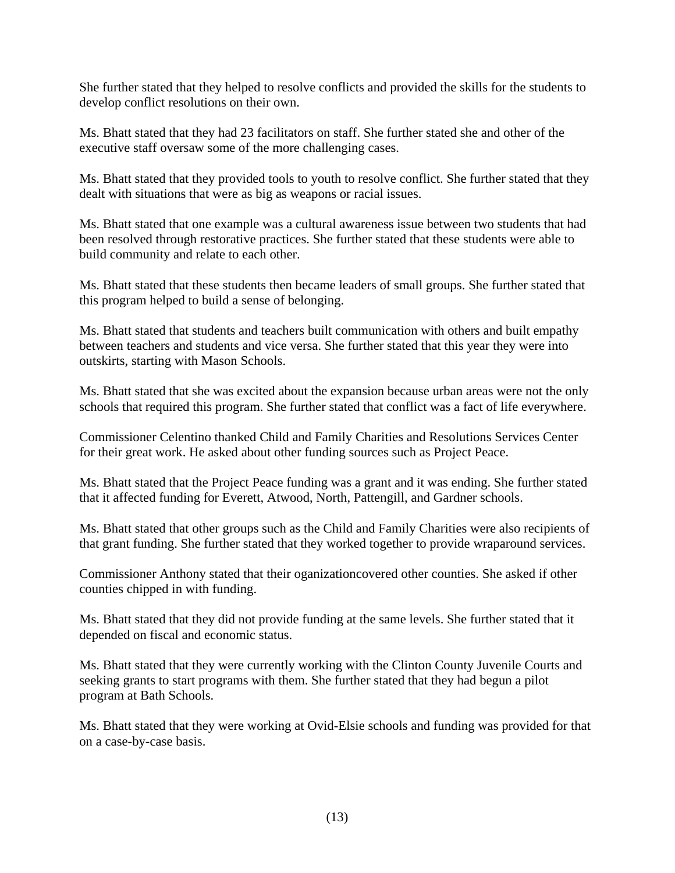She further stated that they helped to resolve conflicts and provided the skills for the students to develop conflict resolutions on their own.

Ms. Bhatt stated that they had 23 facilitators on staff. She further stated she and other of the executive staff oversaw some of the more challenging cases.

Ms. Bhatt stated that they provided tools to youth to resolve conflict. She further stated that they dealt with situations that were as big as weapons or racial issues.

Ms. Bhatt stated that one example was a cultural awareness issue between two students that had been resolved through restorative practices. She further stated that these students were able to build community and relate to each other.

Ms. Bhatt stated that these students then became leaders of small groups. She further stated that this program helped to build a sense of belonging.

Ms. Bhatt stated that students and teachers built communication with others and built empathy between teachers and students and vice versa. She further stated that this year they were into outskirts, starting with Mason Schools.

Ms. Bhatt stated that she was excited about the expansion because urban areas were not the only schools that required this program. She further stated that conflict was a fact of life everywhere.

Commissioner Celentino thanked Child and Family Charities and Resolutions Services Center for their great work. He asked about other funding sources such as Project Peace.

Ms. Bhatt stated that the Project Peace funding was a grant and it was ending. She further stated that it affected funding for Everett, Atwood, North, Pattengill, and Gardner schools.

Ms. Bhatt stated that other groups such as the Child and Family Charities were also recipients of that grant funding. She further stated that they worked together to provide wraparound services.

Commissioner Anthony stated that their oganizationcovered other counties. She asked if other counties chipped in with funding.

Ms. Bhatt stated that they did not provide funding at the same levels. She further stated that it depended on fiscal and economic status.

Ms. Bhatt stated that they were currently working with the Clinton County Juvenile Courts and seeking grants to start programs with them. She further stated that they had begun a pilot program at Bath Schools.

Ms. Bhatt stated that they were working at Ovid-Elsie schools and funding was provided for that on a case-by-case basis.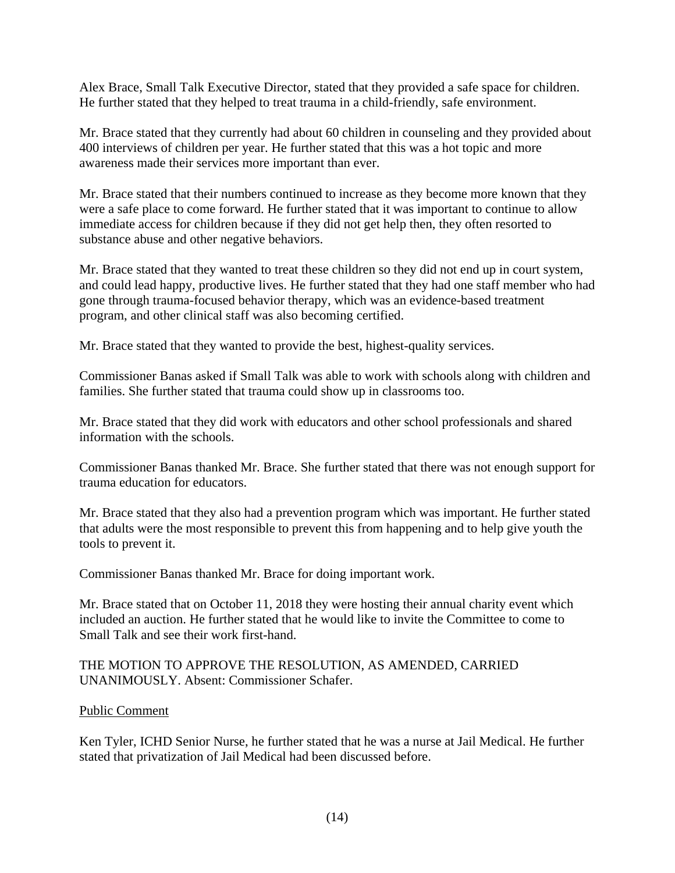Alex Brace, Small Talk Executive Director, stated that they provided a safe space for children. He further stated that they helped to treat trauma in a child-friendly, safe environment.

Mr. Brace stated that they currently had about 60 children in counseling and they provided about 400 interviews of children per year. He further stated that this was a hot topic and more awareness made their services more important than ever.

Mr. Brace stated that their numbers continued to increase as they become more known that they were a safe place to come forward. He further stated that it was important to continue to allow immediate access for children because if they did not get help then, they often resorted to substance abuse and other negative behaviors.

Mr. Brace stated that they wanted to treat these children so they did not end up in court system, and could lead happy, productive lives. He further stated that they had one staff member who had gone through trauma-focused behavior therapy, which was an evidence-based treatment program, and other clinical staff was also becoming certified.

Mr. Brace stated that they wanted to provide the best, highest-quality services.

Commissioner Banas asked if Small Talk was able to work with schools along with children and families. She further stated that trauma could show up in classrooms too.

Mr. Brace stated that they did work with educators and other school professionals and shared information with the schools.

Commissioner Banas thanked Mr. Brace. She further stated that there was not enough support for trauma education for educators.

Mr. Brace stated that they also had a prevention program which was important. He further stated that adults were the most responsible to prevent this from happening and to help give youth the tools to prevent it.

Commissioner Banas thanked Mr. Brace for doing important work.

Mr. Brace stated that on October 11, 2018 they were hosting their annual charity event which included an auction. He further stated that he would like to invite the Committee to come to Small Talk and see their work first-hand.

#### THE MOTION TO APPROVE THE RESOLUTION, AS AMENDED, CARRIED UNANIMOUSLY. Absent: Commissioner Schafer.

#### Public Comment

Ken Tyler, ICHD Senior Nurse, he further stated that he was a nurse at Jail Medical. He further stated that privatization of Jail Medical had been discussed before.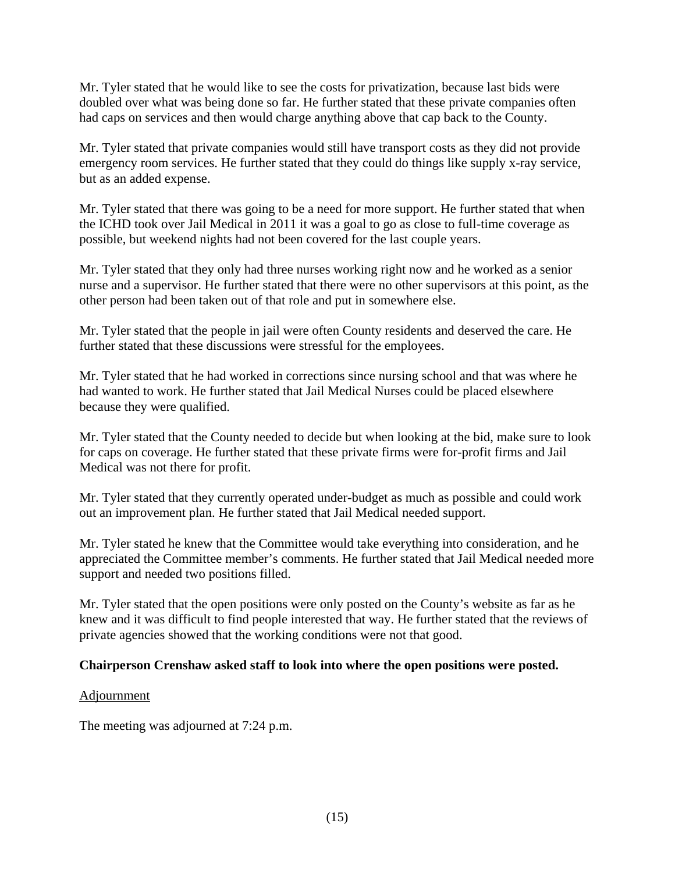Mr. Tyler stated that he would like to see the costs for privatization, because last bids were doubled over what was being done so far. He further stated that these private companies often had caps on services and then would charge anything above that cap back to the County.

Mr. Tyler stated that private companies would still have transport costs as they did not provide emergency room services. He further stated that they could do things like supply x-ray service, but as an added expense.

Mr. Tyler stated that there was going to be a need for more support. He further stated that when the ICHD took over Jail Medical in 2011 it was a goal to go as close to full-time coverage as possible, but weekend nights had not been covered for the last couple years.

Mr. Tyler stated that they only had three nurses working right now and he worked as a senior nurse and a supervisor. He further stated that there were no other supervisors at this point, as the other person had been taken out of that role and put in somewhere else.

Mr. Tyler stated that the people in jail were often County residents and deserved the care. He further stated that these discussions were stressful for the employees.

Mr. Tyler stated that he had worked in corrections since nursing school and that was where he had wanted to work. He further stated that Jail Medical Nurses could be placed elsewhere because they were qualified.

Mr. Tyler stated that the County needed to decide but when looking at the bid, make sure to look for caps on coverage. He further stated that these private firms were for-profit firms and Jail Medical was not there for profit.

Mr. Tyler stated that they currently operated under-budget as much as possible and could work out an improvement plan. He further stated that Jail Medical needed support.

Mr. Tyler stated he knew that the Committee would take everything into consideration, and he appreciated the Committee member's comments. He further stated that Jail Medical needed more support and needed two positions filled.

Mr. Tyler stated that the open positions were only posted on the County's website as far as he knew and it was difficult to find people interested that way. He further stated that the reviews of private agencies showed that the working conditions were not that good.

# **Chairperson Crenshaw asked staff to look into where the open positions were posted.**

#### Adjournment

The meeting was adjourned at 7:24 p.m.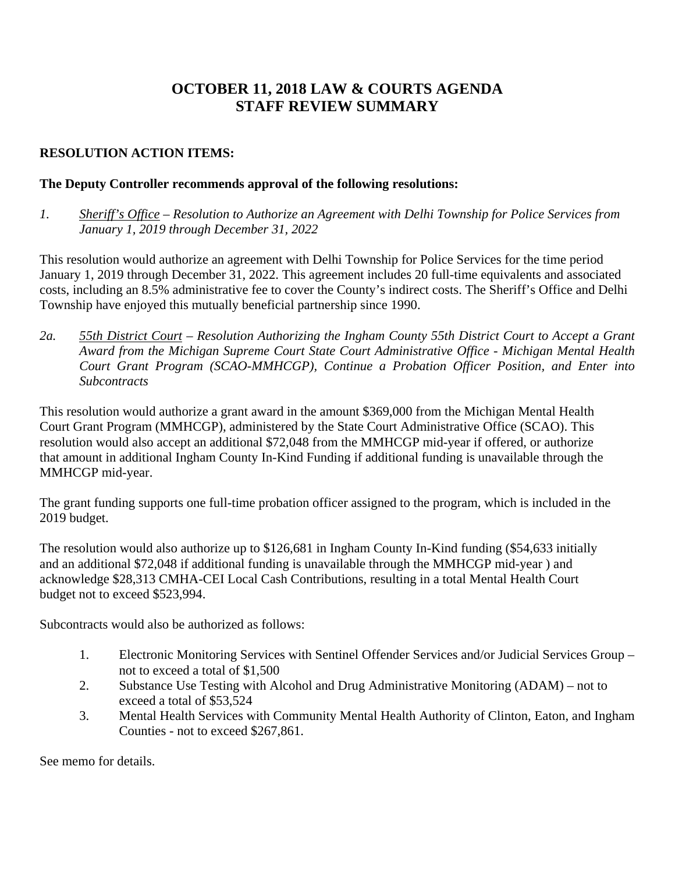# **OCTOBER 11, 2018 LAW & COURTS AGENDA STAFF REVIEW SUMMARY**

# **RESOLUTION ACTION ITEMS:**

# **The Deputy Controller recommends approval of the following resolutions:**

*1. Sheriff's Office – Resolution to Authorize an Agreement with Delhi Township for Police Services from January 1, 2019 through December 31, 2022* 

This resolution would authorize an agreement with Delhi Township for Police Services for the time period January 1, 2019 through December 31, 2022. This agreement includes 20 full-time equivalents and associated costs, including an 8.5% administrative fee to cover the County's indirect costs. The Sheriff's Office and Delhi Township have enjoyed this mutually beneficial partnership since 1990.

*2a. 55th District Court – Resolution Authorizing the Ingham County 55th District Court to Accept a Grant Award from the Michigan Supreme Court State Court Administrative Office - Michigan Mental Health Court Grant Program (SCAO-MMHCGP), Continue a Probation Officer Position, and Enter into Subcontracts*

This resolution would authorize a grant award in the amount \$369,000 from the Michigan Mental Health Court Grant Program (MMHCGP), administered by the State Court Administrative Office (SCAO). This resolution would also accept an additional \$72,048 from the MMHCGP mid-year if offered, or authorize that amount in additional Ingham County In-Kind Funding if additional funding is unavailable through the MMHCGP mid-year.

The grant funding supports one full-time probation officer assigned to the program, which is included in the 2019 budget.

The resolution would also authorize up to \$126,681 in Ingham County In-Kind funding (\$54,633 initially and an additional \$72,048 if additional funding is unavailable through the MMHCGP mid-year ) and acknowledge \$28,313 CMHA-CEI Local Cash Contributions, resulting in a total Mental Health Court budget not to exceed \$523,994.

Subcontracts would also be authorized as follows:

- 1. Electronic Monitoring Services with Sentinel Offender Services and/or Judicial Services Group not to exceed a total of \$1,500
- 2. Substance Use Testing with Alcohol and Drug Administrative Monitoring (ADAM) not to exceed a total of \$53,524
- 3. Mental Health Services with Community Mental Health Authority of Clinton, Eaton, and Ingham Counties - not to exceed \$267,861.

See memo for details.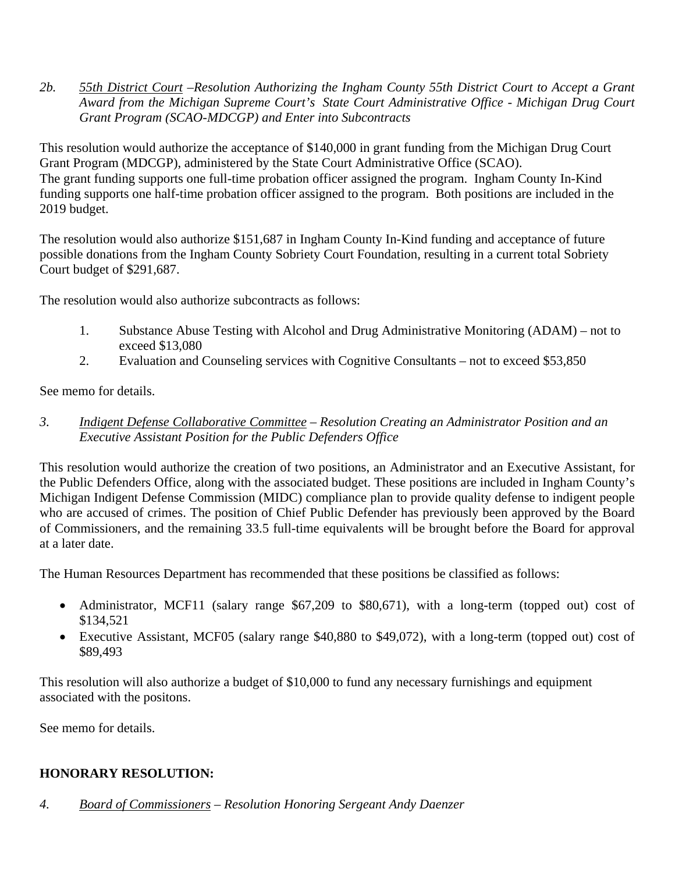*2b. 55th District Court –Resolution Authorizing the Ingham County 55th District Court to Accept a Grant Award from the Michigan Supreme Court's State Court Administrative Office - Michigan Drug Court Grant Program (SCAO-MDCGP) and Enter into Subcontracts* 

This resolution would authorize the acceptance of \$140,000 in grant funding from the Michigan Drug Court Grant Program (MDCGP), administered by the State Court Administrative Office (SCAO). The grant funding supports one full-time probation officer assigned the program. Ingham County In-Kind funding supports one half-time probation officer assigned to the program. Both positions are included in the 2019 budget.

The resolution would also authorize \$151,687 in Ingham County In-Kind funding and acceptance of future possible donations from the Ingham County Sobriety Court Foundation, resulting in a current total Sobriety Court budget of \$291,687.

The resolution would also authorize subcontracts as follows:

- 1. Substance Abuse Testing with Alcohol and Drug Administrative Monitoring (ADAM) not to exceed \$13,080
- 2. Evaluation and Counseling services with Cognitive Consultants not to exceed \$53,850

See memo for details.

*3. Indigent Defense Collaborative Committee – Resolution Creating an Administrator Position and an Executive Assistant Position for the Public Defenders Office* 

This resolution would authorize the creation of two positions, an Administrator and an Executive Assistant, for the Public Defenders Office, along with the associated budget. These positions are included in Ingham County's Michigan Indigent Defense Commission (MIDC) compliance plan to provide quality defense to indigent people who are accused of crimes. The position of Chief Public Defender has previously been approved by the Board of Commissioners, and the remaining 33.5 full-time equivalents will be brought before the Board for approval at a later date.

The Human Resources Department has recommended that these positions be classified as follows:

- Administrator, MCF11 (salary range \$67,209 to \$80,671), with a long-term (topped out) cost of \$134,521
- Executive Assistant, MCF05 (salary range \$40,880 to \$49,072), with a long-term (topped out) cost of \$89,493

This resolution will also authorize a budget of \$10,000 to fund any necessary furnishings and equipment associated with the positons.

See memo for details.

# **HONORARY RESOLUTION:**

*4. Board of Commissioners – Resolution Honoring Sergeant Andy Daenzer*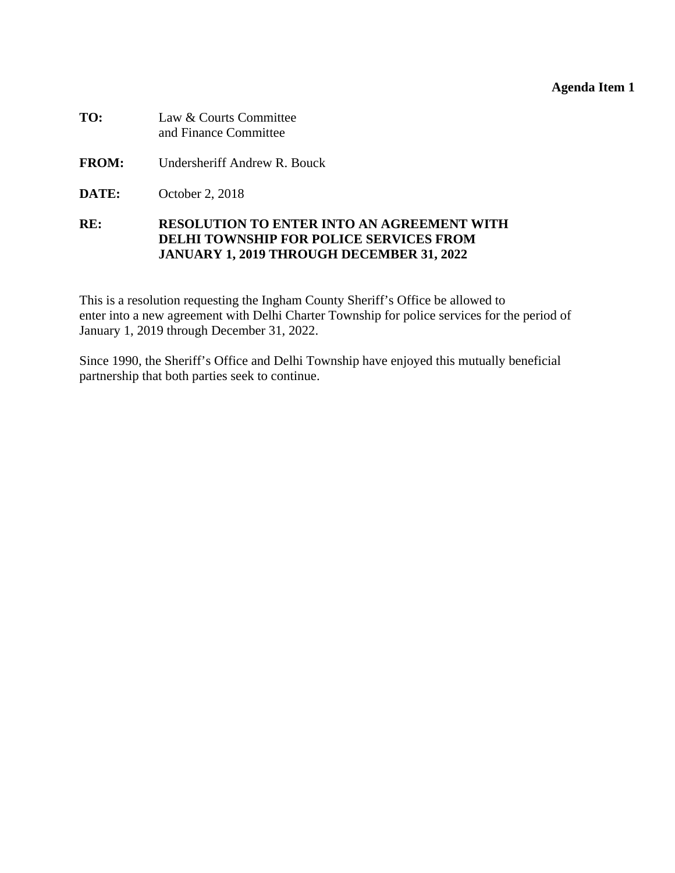#### **Agenda Item 1**

<span id="page-18-0"></span>

| TO: | Law & Courts Committee |
|-----|------------------------|
|     | and Finance Committee  |

- **FROM:** Undersheriff Andrew R. Bouck
- **DATE:** October 2, 2018

#### **RE: RESOLUTION TO ENTER INTO AN AGREEMENT WITH DELHI TOWNSHIP FOR POLICE SERVICES FROM JANUARY 1, 2019 THROUGH DECEMBER 31, 2022**

This is a resolution requesting the Ingham County Sheriff's Office be allowed to enter into a new agreement with Delhi Charter Township for police services for the period of January 1, 2019 through December 31, 2022.

Since 1990, the Sheriff's Office and Delhi Township have enjoyed this mutually beneficial partnership that both parties seek to continue.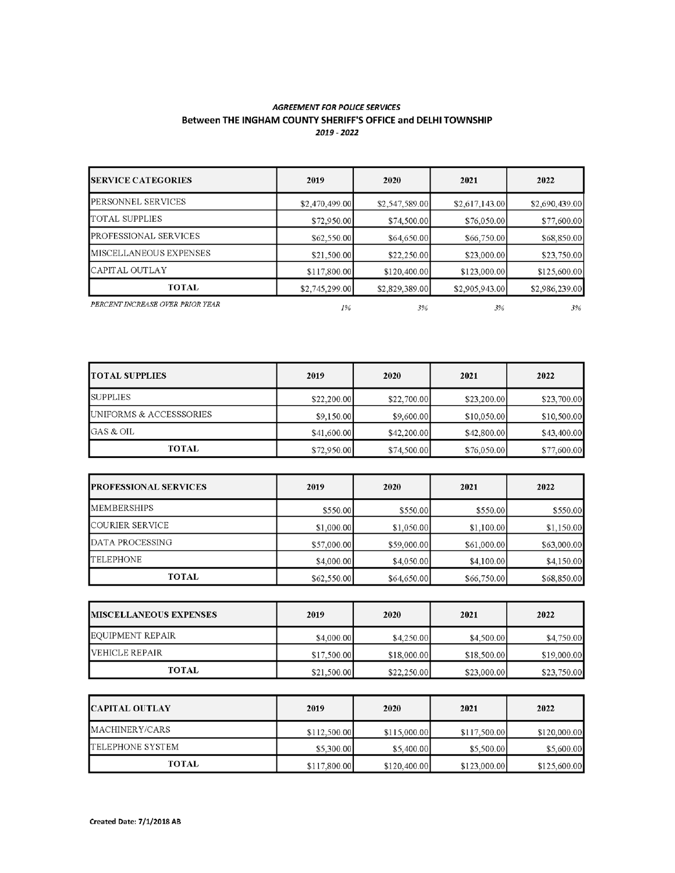#### **AGREEMENT FOR POLICE SERVICES** Between THE INGHAM COUNTY SHERIFF'S OFFICE and DELHI TOWNSHIP 2019 - 2022

| <b>ISERVICE CATEGORIES</b>       | 2019           | 2020           | 2021           | 2022           |
|----------------------------------|----------------|----------------|----------------|----------------|
| PERSONNEL SERVICES               | \$2,470,499.00 | \$2,547,589.00 | \$2,617,143.00 | \$2,690,439.00 |
| TOTAL SUPPLIES                   | \$72,950.00    | \$74,500.00    | \$76,050.00    | \$77,600.00    |
| PROFESSIONAL SERVICES            | \$62,550.00    | \$64,650.00    | \$66,750.00    | \$68,850.00    |
| MISCELLANEOUS EXPENSES           | \$21,500.00    | \$22,250.00    | \$23,000.00    | \$23,750.00    |
| CAPITAL OUTLAY                   | \$117,800.00   | \$120,400.00   | \$123,000.00   | \$125,600.00   |
| <b>TOTAL</b>                     | \$2,745,299.00 | \$2,829,389.00 | \$2,905,943.00 | \$2,986,239.00 |
| PERCENT INCREASE OVER PRIOR YEAR | 1%             | 3%             | 3%             | 3%             |

| <b>TOTAL SUPPLIES</b>   | 2019        | 2020        | 2021        | 2022        |
|-------------------------|-------------|-------------|-------------|-------------|
| <b>SUPPLIES</b>         | \$22,200.00 | \$22,700.00 | \$23,200.00 | \$23,700.00 |
| UNIFORMS & ACCESSSORIES | \$9,150.00  | \$9,600.00  | \$10,050.00 | \$10,500.00 |
| GAS & OIL               | \$41,600.00 | \$42,200,00 | \$42,800.00 | \$43,400.00 |
| TOTAL                   | \$72,950.00 | \$74,500.00 | \$76,050.00 | \$77,600.00 |

| <b>PROFESSIONAL SERVICES</b> | 2019        | 2020        | 2021        | 2022        |
|------------------------------|-------------|-------------|-------------|-------------|
| <b>MEMBERSHIPS</b>           | \$550.00    | \$550.00    | \$550.00    | \$550.00    |
| COURIER SERVICE              | \$1,000.00  | \$1,050.00  | \$1,100.00  | \$1,150.00  |
| DATA PROCESSING              | \$57,000.00 | \$59,000.00 | \$61,000.00 | \$63,000.00 |
| <b>TELEPHONE</b>             | \$4,000.00  | \$4,050.00  | \$4,100.00  | \$4,150.00  |
| <b>TOTAL</b>                 | \$62,550.00 | \$64,650.00 | \$66,750.00 | \$68,850.00 |

| <b>IMISCELLANEOUS EXPENSES</b> | 2019        | 2020        | 2021        | 2022        |
|--------------------------------|-------------|-------------|-------------|-------------|
| EOUIPMENT REPAIR               | \$4,000.00  | \$4,250.00  | \$4,500.00  | \$4,750.00  |
| <b>IVEHICLE REPAIR</b>         | \$17,500.00 | \$18,000.00 | \$18,500.00 | \$19,000.00 |
| <b>TOTAL</b>                   | \$21,500.00 | \$22,250.00 | \$23,000.00 | \$23,750.00 |

| <b>ICAPITAL OUTLAY</b> | 2019         | 2020         | 2021         | 2022         |
|------------------------|--------------|--------------|--------------|--------------|
| MACHINERY/CARS         | \$112,500.00 | \$115,000.00 | \$117,500.00 | \$120,000.00 |
| TELEPHONE SYSTEM       | \$5,300.00   | \$5,400.00   | \$5,500.00   | \$5,600.00   |
| <b>TOTAL</b>           | \$117,800.00 | \$120,400.00 | \$123,000.00 | \$125,600.00 |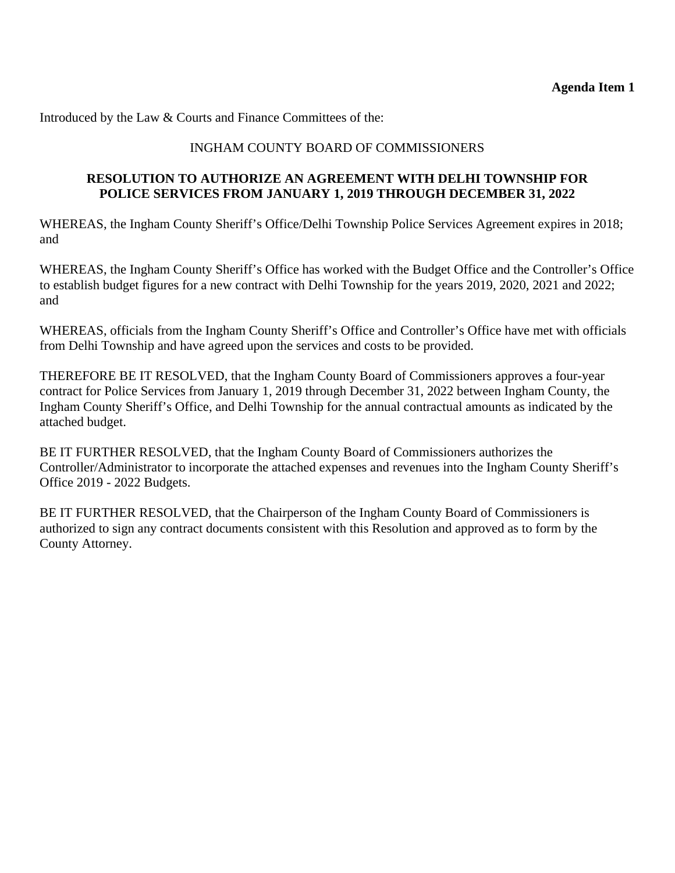Introduced by the Law & Courts and Finance Committees of the:

# INGHAM COUNTY BOARD OF COMMISSIONERS

## **RESOLUTION TO AUTHORIZE AN AGREEMENT WITH DELHI TOWNSHIP FOR POLICE SERVICES FROM JANUARY 1, 2019 THROUGH DECEMBER 31, 2022**

WHEREAS, the Ingham County Sheriff's Office/Delhi Township Police Services Agreement expires in 2018; and

WHEREAS, the Ingham County Sheriff's Office has worked with the Budget Office and the Controller's Office to establish budget figures for a new contract with Delhi Township for the years 2019, 2020, 2021 and 2022; and

WHEREAS, officials from the Ingham County Sheriff's Office and Controller's Office have met with officials from Delhi Township and have agreed upon the services and costs to be provided.

THEREFORE BE IT RESOLVED, that the Ingham County Board of Commissioners approves a four-year contract for Police Services from January 1, 2019 through December 31, 2022 between Ingham County, the Ingham County Sheriff's Office, and Delhi Township for the annual contractual amounts as indicated by the attached budget.

BE IT FURTHER RESOLVED, that the Ingham County Board of Commissioners authorizes the Controller/Administrator to incorporate the attached expenses and revenues into the Ingham County Sheriff's Office 2019 - 2022 Budgets.

BE IT FURTHER RESOLVED, that the Chairperson of the Ingham County Board of Commissioners is authorized to sign any contract documents consistent with this Resolution and approved as to form by the County Attorney.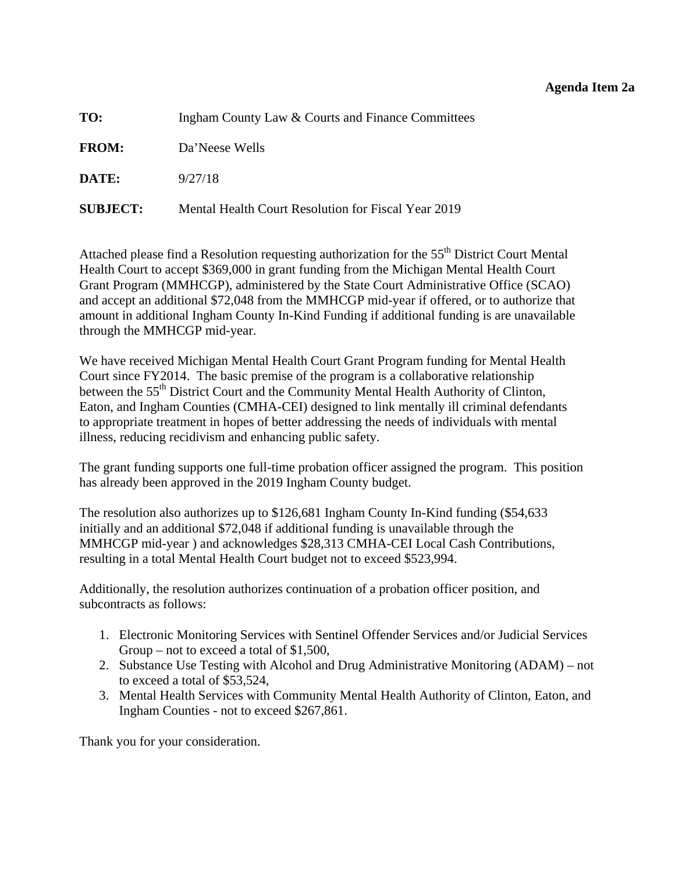#### **Agenda Item 2a**

<span id="page-21-0"></span>

| TO:             | Ingham County Law & Courts and Finance Committees   |
|-----------------|-----------------------------------------------------|
| <b>FROM:</b>    | Da'Neese Wells                                      |
| DATE:           | 9/27/18                                             |
| <b>SUBJECT:</b> | Mental Health Court Resolution for Fiscal Year 2019 |

Attached please find a Resolution requesting authorization for the 55<sup>th</sup> District Court Mental Health Court to accept \$369,000 in grant funding from the Michigan Mental Health Court Grant Program (MMHCGP), administered by the State Court Administrative Office (SCAO) and accept an additional \$72,048 from the MMHCGP mid-year if offered, or to authorize that amount in additional Ingham County In-Kind Funding if additional funding is are unavailable through the MMHCGP mid-year.

We have received Michigan Mental Health Court Grant Program funding for Mental Health Court since FY2014. The basic premise of the program is a collaborative relationship between the 55<sup>th</sup> District Court and the Community Mental Health Authority of Clinton, Eaton, and Ingham Counties (CMHA-CEI) designed to link mentally ill criminal defendants to appropriate treatment in hopes of better addressing the needs of individuals with mental illness, reducing recidivism and enhancing public safety.

The grant funding supports one full-time probation officer assigned the program. This position has already been approved in the 2019 Ingham County budget.

The resolution also authorizes up to \$126,681 Ingham County In-Kind funding (\$54,633 initially and an additional \$72,048 if additional funding is unavailable through the MMHCGP mid-year ) and acknowledges \$28,313 CMHA-CEI Local Cash Contributions, resulting in a total Mental Health Court budget not to exceed \$523,994.

Additionally, the resolution authorizes continuation of a probation officer position, and subcontracts as follows:

- 1. Electronic Monitoring Services with Sentinel Offender Services and/or Judicial Services Group – not to exceed a total of \$1,500,
- 2. Substance Use Testing with Alcohol and Drug Administrative Monitoring (ADAM) not to exceed a total of \$53,524,
- 3. Mental Health Services with Community Mental Health Authority of Clinton, Eaton, and Ingham Counties - not to exceed \$267,861.

Thank you for your consideration.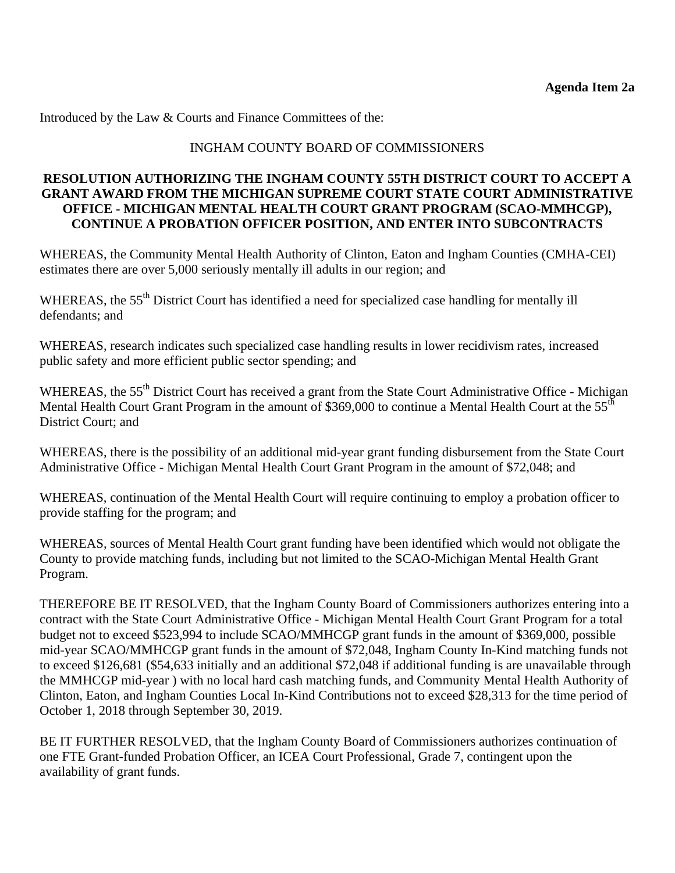Introduced by the Law & Courts and Finance Committees of the:

## INGHAM COUNTY BOARD OF COMMISSIONERS

## **RESOLUTION AUTHORIZING THE INGHAM COUNTY 55TH DISTRICT COURT TO ACCEPT A GRANT AWARD FROM THE MICHIGAN SUPREME COURT STATE COURT ADMINISTRATIVE OFFICE - MICHIGAN MENTAL HEALTH COURT GRANT PROGRAM (SCAO-MMHCGP), CONTINUE A PROBATION OFFICER POSITION, AND ENTER INTO SUBCONTRACTS**

WHEREAS, the Community Mental Health Authority of Clinton, Eaton and Ingham Counties (CMHA-CEI) estimates there are over 5,000 seriously mentally ill adults in our region; and

WHEREAS, the 55<sup>th</sup> District Court has identified a need for specialized case handling for mentally ill defendants; and

WHEREAS, research indicates such specialized case handling results in lower recidivism rates, increased public safety and more efficient public sector spending; and

WHEREAS, the 55<sup>th</sup> District Court has received a grant from the State Court Administrative Office - Michigan Mental Health Court Grant Program in the amount of \$369,000 to continue a Mental Health Court at the 55<sup>th</sup> District Court; and

WHEREAS, there is the possibility of an additional mid-year grant funding disbursement from the State Court Administrative Office - Michigan Mental Health Court Grant Program in the amount of \$72,048; and

WHEREAS, continuation of the Mental Health Court will require continuing to employ a probation officer to provide staffing for the program; and

WHEREAS, sources of Mental Health Court grant funding have been identified which would not obligate the County to provide matching funds, including but not limited to the SCAO-Michigan Mental Health Grant Program.

THEREFORE BE IT RESOLVED, that the Ingham County Board of Commissioners authorizes entering into a contract with the State Court Administrative Office - Michigan Mental Health Court Grant Program for a total budget not to exceed \$523,994 to include SCAO/MMHCGP grant funds in the amount of \$369,000, possible mid-year SCAO/MMHCGP grant funds in the amount of \$72,048, Ingham County In-Kind matching funds not to exceed \$126,681 (\$54,633 initially and an additional \$72,048 if additional funding is are unavailable through the MMHCGP mid-year ) with no local hard cash matching funds, and Community Mental Health Authority of Clinton, Eaton, and Ingham Counties Local In-Kind Contributions not to exceed \$28,313 for the time period of October 1, 2018 through September 30, 2019.

BE IT FURTHER RESOLVED, that the Ingham County Board of Commissioners authorizes continuation of one FTE Grant-funded Probation Officer, an ICEA Court Professional, Grade 7, contingent upon the availability of grant funds.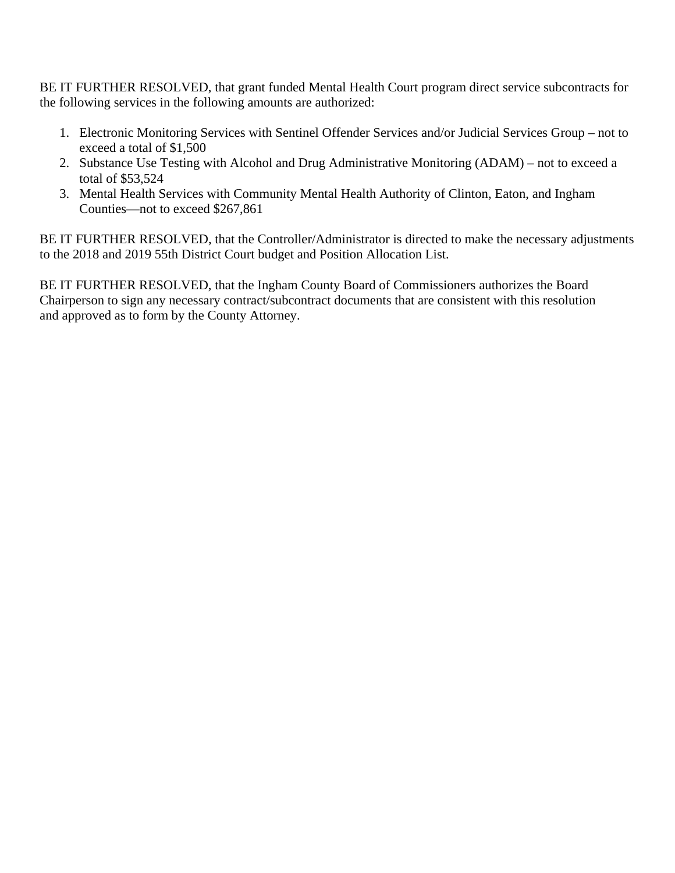BE IT FURTHER RESOLVED, that grant funded Mental Health Court program direct service subcontracts for the following services in the following amounts are authorized:

- 1. Electronic Monitoring Services with Sentinel Offender Services and/or Judicial Services Group not to exceed a total of \$1,500
- 2. Substance Use Testing with Alcohol and Drug Administrative Monitoring (ADAM) not to exceed a total of \$53,524
- 3. Mental Health Services with Community Mental Health Authority of Clinton, Eaton, and Ingham Counties—not to exceed \$267,861

BE IT FURTHER RESOLVED, that the Controller/Administrator is directed to make the necessary adjustments to the 2018 and 2019 55th District Court budget and Position Allocation List.

BE IT FURTHER RESOLVED, that the Ingham County Board of Commissioners authorizes the Board Chairperson to sign any necessary contract/subcontract documents that are consistent with this resolution and approved as to form by the County Attorney.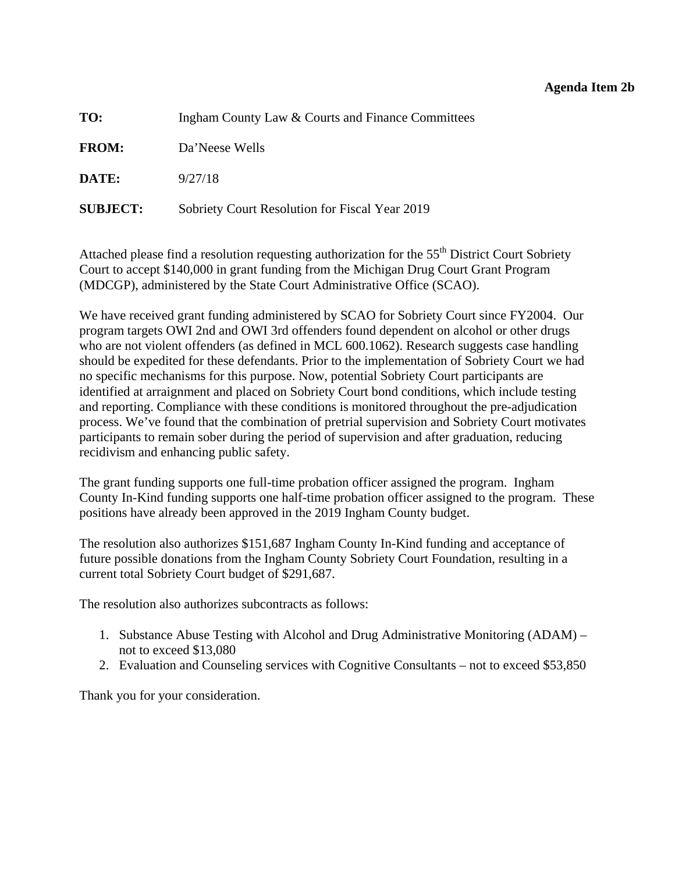#### **Agenda Item 2b**

<span id="page-24-0"></span>

| TO:             | Ingham County Law & Courts and Finance Committees |
|-----------------|---------------------------------------------------|
| <b>FROM:</b>    | Da'Neese Wells                                    |
| DATE:           | 9/27/18                                           |
| <b>SUBJECT:</b> | Sobriety Court Resolution for Fiscal Year 2019    |

Attached please find a resolution requesting authorization for the 55<sup>th</sup> District Court Sobriety Court to accept \$140,000 in grant funding from the Michigan Drug Court Grant Program (MDCGP), administered by the State Court Administrative Office (SCAO).

We have received grant funding administered by SCAO for Sobriety Court since FY2004. Our program targets OWI 2nd and OWI 3rd offenders found dependent on alcohol or other drugs who are not violent offenders (as defined in MCL 600.1062). Research suggests case handling should be expedited for these defendants. Prior to the implementation of Sobriety Court we had no specific mechanisms for this purpose. Now, potential Sobriety Court participants are identified at arraignment and placed on Sobriety Court bond conditions, which include testing and reporting. Compliance with these conditions is monitored throughout the pre-adjudication process. We've found that the combination of pretrial supervision and Sobriety Court motivates participants to remain sober during the period of supervision and after graduation, reducing recidivism and enhancing public safety.

The grant funding supports one full-time probation officer assigned the program. Ingham County In-Kind funding supports one half-time probation officer assigned to the program. These positions have already been approved in the 2019 Ingham County budget.

The resolution also authorizes \$151,687 Ingham County In-Kind funding and acceptance of future possible donations from the Ingham County Sobriety Court Foundation, resulting in a current total Sobriety Court budget of \$291,687.

The resolution also authorizes subcontracts as follows:

- 1. Substance Abuse Testing with Alcohol and Drug Administrative Monitoring (ADAM) not to exceed \$13,080
- 2. Evaluation and Counseling services with Cognitive Consultants not to exceed \$53,850

Thank you for your consideration.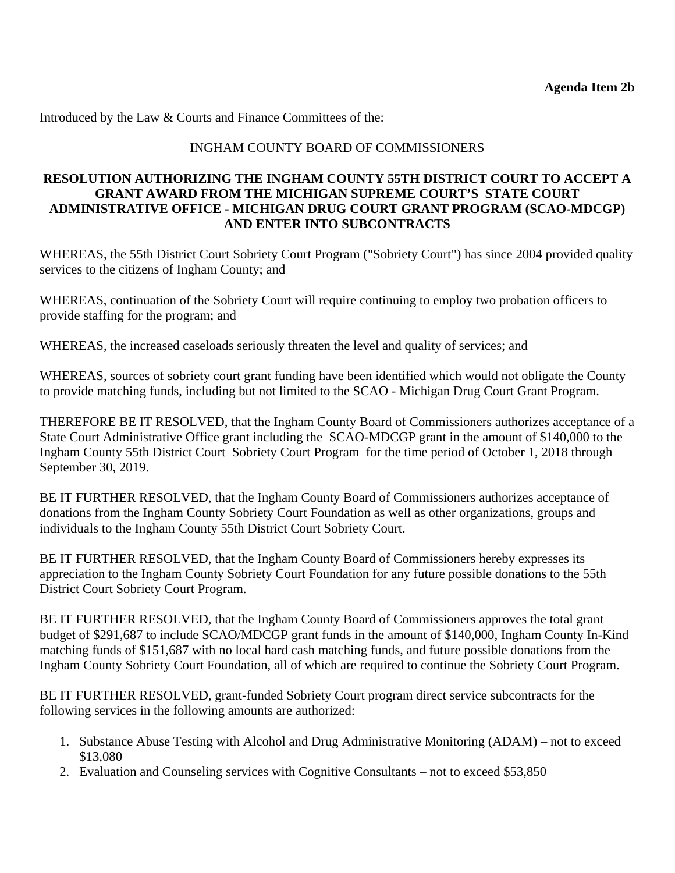Introduced by the Law & Courts and Finance Committees of the:

# INGHAM COUNTY BOARD OF COMMISSIONERS

## **RESOLUTION AUTHORIZING THE INGHAM COUNTY 55TH DISTRICT COURT TO ACCEPT A GRANT AWARD FROM THE MICHIGAN SUPREME COURT'S STATE COURT ADMINISTRATIVE OFFICE - MICHIGAN DRUG COURT GRANT PROGRAM (SCAO-MDCGP) AND ENTER INTO SUBCONTRACTS**

WHEREAS, the 55th District Court Sobriety Court Program ("Sobriety Court") has since 2004 provided quality services to the citizens of Ingham County; and

WHEREAS, continuation of the Sobriety Court will require continuing to employ two probation officers to provide staffing for the program; and

WHEREAS, the increased caseloads seriously threaten the level and quality of services; and

WHEREAS, sources of sobriety court grant funding have been identified which would not obligate the County to provide matching funds, including but not limited to the SCAO - Michigan Drug Court Grant Program.

THEREFORE BE IT RESOLVED, that the Ingham County Board of Commissioners authorizes acceptance of a State Court Administrative Office grant including the SCAO-MDCGP grant in the amount of \$140,000 to the Ingham County 55th District Court Sobriety Court Program for the time period of October 1, 2018 through September 30, 2019.

BE IT FURTHER RESOLVED, that the Ingham County Board of Commissioners authorizes acceptance of donations from the Ingham County Sobriety Court Foundation as well as other organizations, groups and individuals to the Ingham County 55th District Court Sobriety Court.

BE IT FURTHER RESOLVED, that the Ingham County Board of Commissioners hereby expresses its appreciation to the Ingham County Sobriety Court Foundation for any future possible donations to the 55th District Court Sobriety Court Program.

BE IT FURTHER RESOLVED, that the Ingham County Board of Commissioners approves the total grant budget of \$291,687 to include SCAO/MDCGP grant funds in the amount of \$140,000, Ingham County In-Kind matching funds of \$151,687 with no local hard cash matching funds, and future possible donations from the Ingham County Sobriety Court Foundation, all of which are required to continue the Sobriety Court Program.

BE IT FURTHER RESOLVED, grant-funded Sobriety Court program direct service subcontracts for the following services in the following amounts are authorized:

- 1. Substance Abuse Testing with Alcohol and Drug Administrative Monitoring (ADAM) not to exceed \$13,080
- 2. Evaluation and Counseling services with Cognitive Consultants not to exceed \$53,850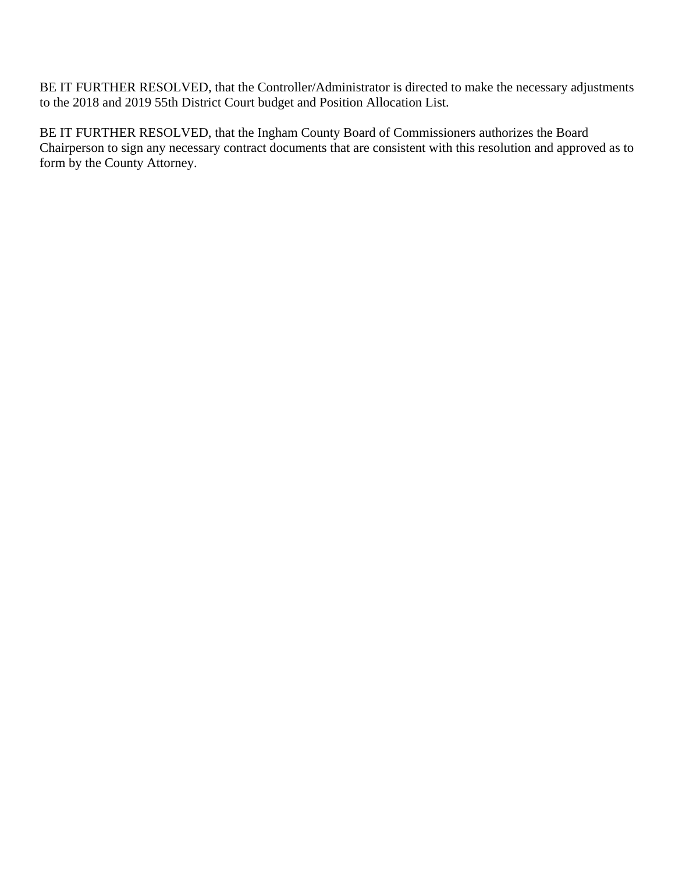BE IT FURTHER RESOLVED, that the Controller/Administrator is directed to make the necessary adjustments to the 2018 and 2019 55th District Court budget and Position Allocation List.

BE IT FURTHER RESOLVED, that the Ingham County Board of Commissioners authorizes the Board Chairperson to sign any necessary contract documents that are consistent with this resolution and approved as to form by the County Attorney.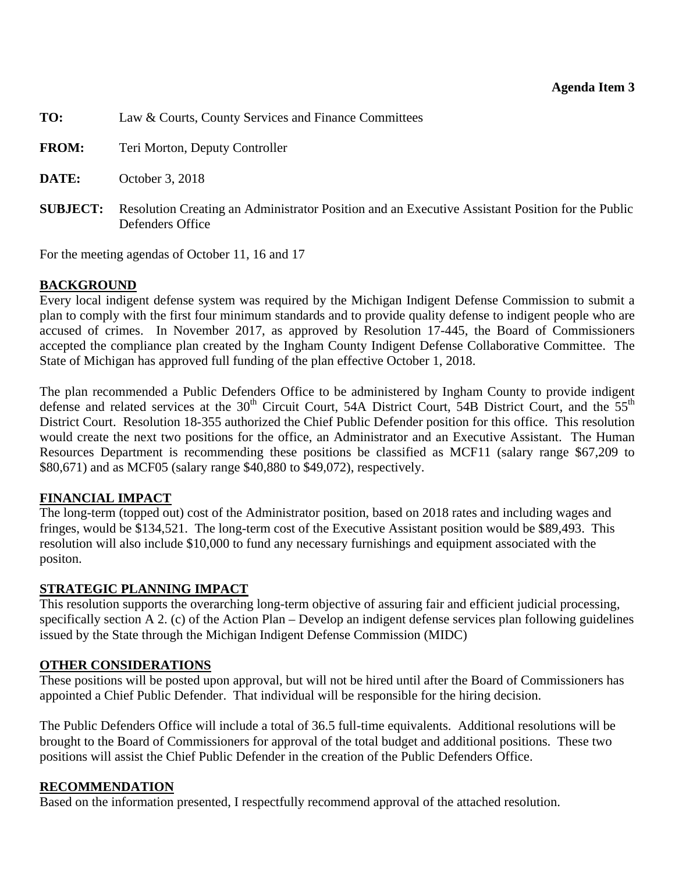<span id="page-27-0"></span>

| TO:          | Law & Courts, County Services and Finance Committees                                                                                 |
|--------------|--------------------------------------------------------------------------------------------------------------------------------------|
| <b>FROM:</b> | Teri Morton, Deputy Controller                                                                                                       |
| DATE:        | October 3, 2018                                                                                                                      |
|              | <b>SUBJECT:</b> Resolution Creating an Administrator Position and an Executive Assistant Position for the Public<br>Defenders Office |

For the meeting agendas of October 11, 16 and 17

# **BACKGROUND**

Every local indigent defense system was required by the Michigan Indigent Defense Commission to submit a plan to comply with the first four minimum standards and to provide quality defense to indigent people who are accused of crimes. In November 2017, as approved by Resolution 17-445, the Board of Commissioners accepted the compliance plan created by the Ingham County Indigent Defense Collaborative Committee. The State of Michigan has approved full funding of the plan effective October 1, 2018.

The plan recommended a Public Defenders Office to be administered by Ingham County to provide indigent defense and related services at the 30<sup>th</sup> Circuit Court, 54A District Court, 54B District Court, and the 55<sup>th</sup> District Court. Resolution 18-355 authorized the Chief Public Defender position for this office. This resolution would create the next two positions for the office, an Administrator and an Executive Assistant. The Human Resources Department is recommending these positions be classified as MCF11 (salary range \$67,209 to \$80,671) and as MCF05 (salary range \$40,880 to \$49,072), respectively.

# **FINANCIAL IMPACT**

The long-term (topped out) cost of the Administrator position, based on 2018 rates and including wages and fringes, would be \$134,521. The long-term cost of the Executive Assistant position would be \$89,493. This resolution will also include \$10,000 to fund any necessary furnishings and equipment associated with the positon.

# **STRATEGIC PLANNING IMPACT**

This resolution supports the overarching long-term objective of assuring fair and efficient judicial processing, specifically section A 2. (c) of the Action Plan – Develop an indigent defense services plan following guidelines issued by the State through the Michigan Indigent Defense Commission (MIDC)

# **OTHER CONSIDERATIONS**

These positions will be posted upon approval, but will not be hired until after the Board of Commissioners has appointed a Chief Public Defender. That individual will be responsible for the hiring decision.

The Public Defenders Office will include a total of 36.5 full-time equivalents. Additional resolutions will be brought to the Board of Commissioners for approval of the total budget and additional positions. These two positions will assist the Chief Public Defender in the creation of the Public Defenders Office.

# **RECOMMENDATION**

Based on the information presented, I respectfully recommend approval of the attached resolution.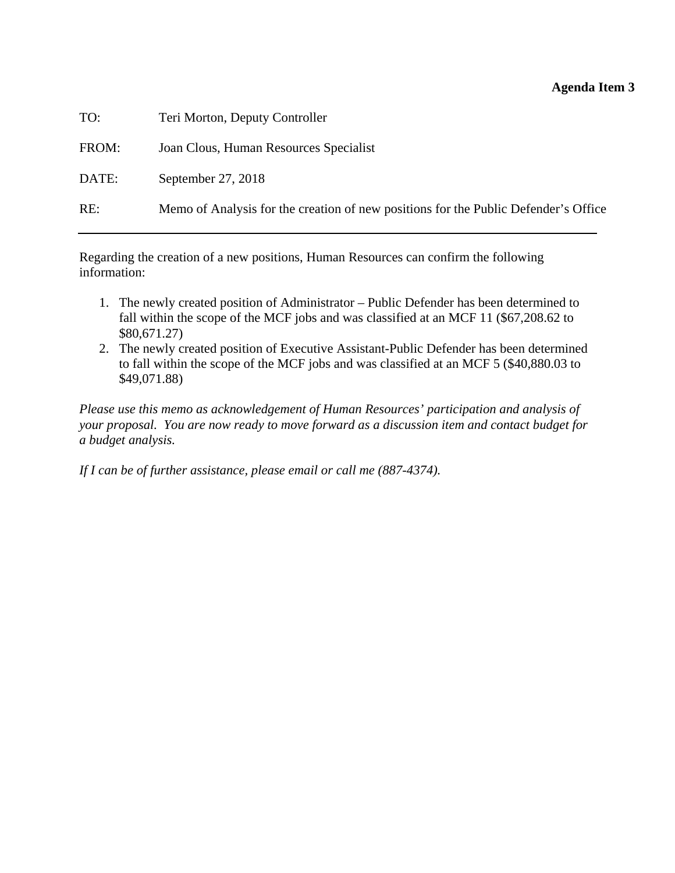### **Agenda Item 3**

| TO:   | Teri Morton, Deputy Controller                                                      |
|-------|-------------------------------------------------------------------------------------|
| FROM: | Joan Clous, Human Resources Specialist                                              |
| DATE: | September 27, 2018                                                                  |
| RE:   | Memo of Analysis for the creation of new positions for the Public Defender's Office |
|       |                                                                                     |

Regarding the creation of a new positions, Human Resources can confirm the following information:

- 1. The newly created position of Administrator Public Defender has been determined to fall within the scope of the MCF jobs and was classified at an MCF 11 (\$67,208.62 to \$80,671.27)
- 2. The newly created position of Executive Assistant-Public Defender has been determined to fall within the scope of the MCF jobs and was classified at an MCF 5 (\$40,880.03 to \$49,071.88)

*Please use this memo as acknowledgement of Human Resources' participation and analysis of your proposal. You are now ready to move forward as a discussion item and contact budget for a budget analysis.* 

*If I can be of further assistance, please email or call me (887-4374).*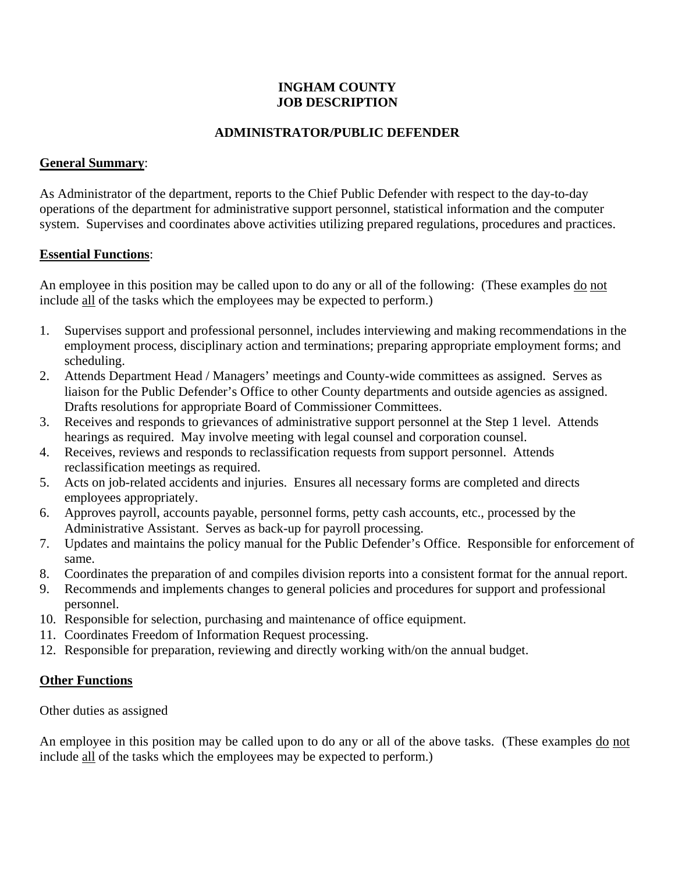# **INGHAM COUNTY JOB DESCRIPTION**

## **ADMINISTRATOR/PUBLIC DEFENDER**

#### **General Summary**:

As Administrator of the department, reports to the Chief Public Defender with respect to the day-to-day operations of the department for administrative support personnel, statistical information and the computer system. Supervises and coordinates above activities utilizing prepared regulations, procedures and practices.

#### **Essential Functions**:

An employee in this position may be called upon to do any or all of the following: (These examples do not include all of the tasks which the employees may be expected to perform.)

- 1. Supervises support and professional personnel, includes interviewing and making recommendations in the employment process, disciplinary action and terminations; preparing appropriate employment forms; and scheduling.
- 2. Attends Department Head / Managers' meetings and County-wide committees as assigned. Serves as liaison for the Public Defender's Office to other County departments and outside agencies as assigned. Drafts resolutions for appropriate Board of Commissioner Committees.
- 3. Receives and responds to grievances of administrative support personnel at the Step 1 level. Attends hearings as required. May involve meeting with legal counsel and corporation counsel.
- 4. Receives, reviews and responds to reclassification requests from support personnel. Attends reclassification meetings as required.
- 5. Acts on job-related accidents and injuries. Ensures all necessary forms are completed and directs employees appropriately.
- 6. Approves payroll, accounts payable, personnel forms, petty cash accounts, etc., processed by the Administrative Assistant. Serves as back-up for payroll processing.
- 7. Updates and maintains the policy manual for the Public Defender's Office. Responsible for enforcement of same.
- 8. Coordinates the preparation of and compiles division reports into a consistent format for the annual report.
- 9. Recommends and implements changes to general policies and procedures for support and professional personnel.
- 10. Responsible for selection, purchasing and maintenance of office equipment.
- 11. Coordinates Freedom of Information Request processing.
- 12. Responsible for preparation, reviewing and directly working with/on the annual budget.

#### **Other Functions**

Other duties as assigned

An employee in this position may be called upon to do any or all of the above tasks. (These examples do not include all of the tasks which the employees may be expected to perform.)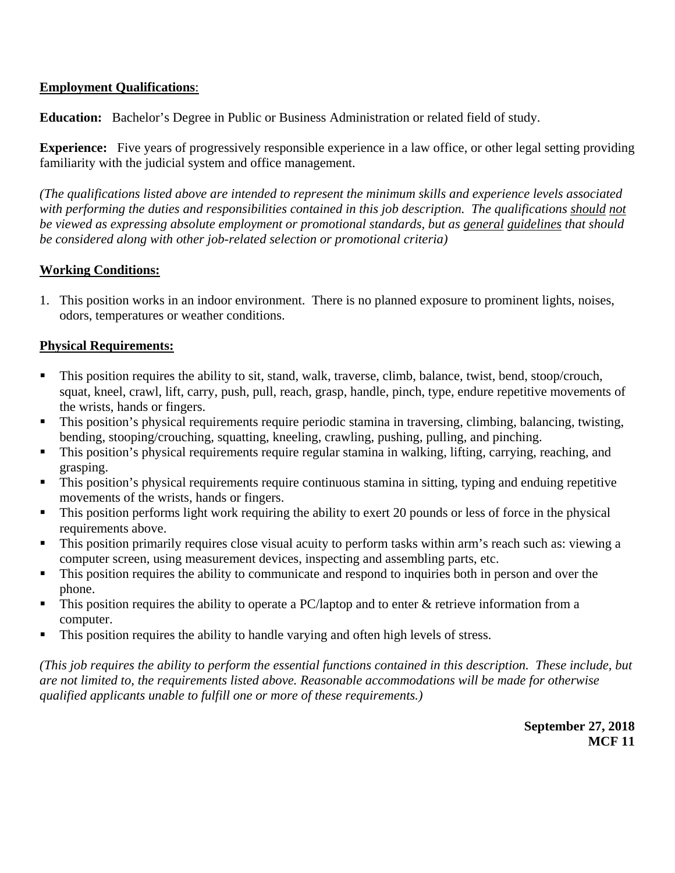# **Employment Qualifications**:

**Education:** Bachelor's Degree in Public or Business Administration or related field of study.

**Experience:** Five years of progressively responsible experience in a law office, or other legal setting providing familiarity with the judicial system and office management.

*(The qualifications listed above are intended to represent the minimum skills and experience levels associated*  with performing the duties and responsibilities contained in this job description. The qualifications should not *be viewed as expressing absolute employment or promotional standards, but as general guidelines that should be considered along with other job-related selection or promotional criteria)* 

#### **Working Conditions:**

1. This position works in an indoor environment. There is no planned exposure to prominent lights, noises, odors, temperatures or weather conditions.

#### **Physical Requirements:**

- This position requires the ability to sit, stand, walk, traverse, climb, balance, twist, bend, stoop/crouch, squat, kneel, crawl, lift, carry, push, pull, reach, grasp, handle, pinch, type, endure repetitive movements of the wrists, hands or fingers.
- This position's physical requirements require periodic stamina in traversing, climbing, balancing, twisting, bending, stooping/crouching, squatting, kneeling, crawling, pushing, pulling, and pinching.
- This position's physical requirements require regular stamina in walking, lifting, carrying, reaching, and grasping.
- **This position's physical requirements require continuous stamina in sitting, typing and enduing repetitive** movements of the wrists, hands or fingers.
- This position performs light work requiring the ability to exert 20 pounds or less of force in the physical requirements above.
- This position primarily requires close visual acuity to perform tasks within arm's reach such as: viewing a computer screen, using measurement devices, inspecting and assembling parts, etc.
- $\blacksquare$  This position requires the ability to communicate and respond to inquiries both in person and over the phone.
- $\blacksquare$  This position requires the ability to operate a PC/laptop and to enter & retrieve information from a computer.
- This position requires the ability to handle varying and often high levels of stress.

*(This job requires the ability to perform the essential functions contained in this description. These include, but are not limited to, the requirements listed above. Reasonable accommodations will be made for otherwise qualified applicants unable to fulfill one or more of these requirements.)*

> **September 27, 2018 MCF 11**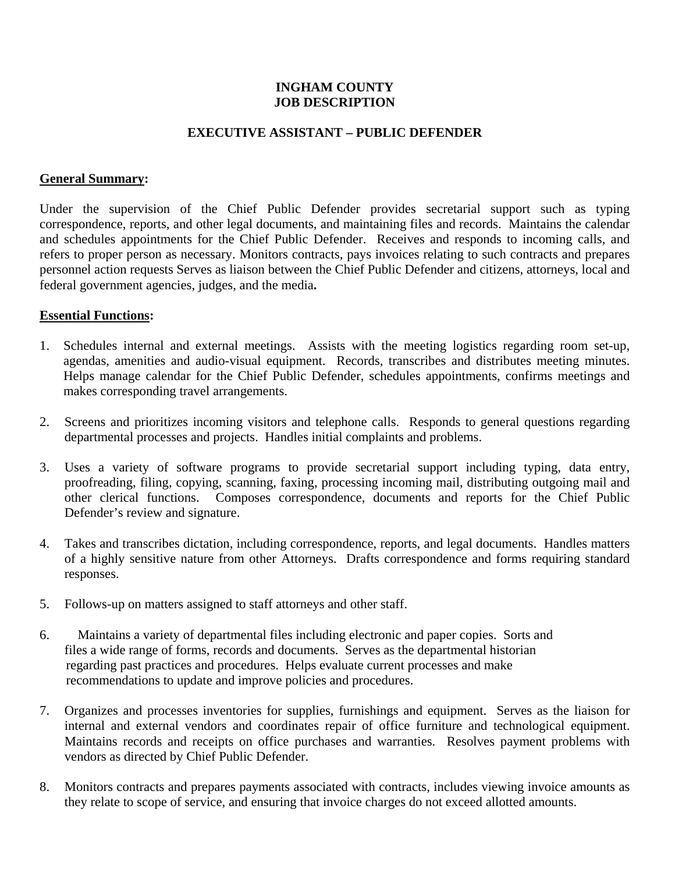#### **INGHAM COUNTY JOB DESCRIPTION**

#### **EXECUTIVE ASSISTANT – PUBLIC DEFENDER**

#### **General Summary:**

Under the supervision of the Chief Public Defender provides secretarial support such as typing correspondence, reports, and other legal documents, and maintaining files and records. Maintains the calendar and schedules appointments for the Chief Public Defender. Receives and responds to incoming calls, and refers to proper person as necessary. Monitors contracts, pays invoices relating to such contracts and prepares personnel action requests Serves as liaison between the Chief Public Defender and citizens, attorneys, local and federal government agencies, judges, and the media**.** 

#### **Essential Functions:**

- 1. Schedules internal and external meetings. Assists with the meeting logistics regarding room set-up, agendas, amenities and audio-visual equipment. Records, transcribes and distributes meeting minutes. Helps manage calendar for the Chief Public Defender, schedules appointments, confirms meetings and makes corresponding travel arrangements.
- 2. Screens and prioritizes incoming visitors and telephone calls. Responds to general questions regarding departmental processes and projects. Handles initial complaints and problems.
- 3. Uses a variety of software programs to provide secretarial support including typing, data entry, proofreading, filing, copying, scanning, faxing, processing incoming mail, distributing outgoing mail and other clerical functions. Composes correspondence, documents and reports for the Chief Public Defender's review and signature.
- 4. Takes and transcribes dictation, including correspondence, reports, and legal documents. Handles matters of a highly sensitive nature from other Attorneys. Drafts correspondence and forms requiring standard responses.
- 5. Follows-up on matters assigned to staff attorneys and other staff.
- 6. Maintains a variety of departmental files including electronic and paper copies. Sorts and files a wide range of forms, records and documents. Serves as the departmental historian regarding past practices and procedures. Helps evaluate current processes and make recommendations to update and improve policies and procedures.
- 7. Organizes and processes inventories for supplies, furnishings and equipment. Serves as the liaison for internal and external vendors and coordinates repair of office furniture and technological equipment. Maintains records and receipts on office purchases and warranties. Resolves payment problems with vendors as directed by Chief Public Defender.
- 8. Monitors contracts and prepares payments associated with contracts, includes viewing invoice amounts as they relate to scope of service, and ensuring that invoice charges do not exceed allotted amounts.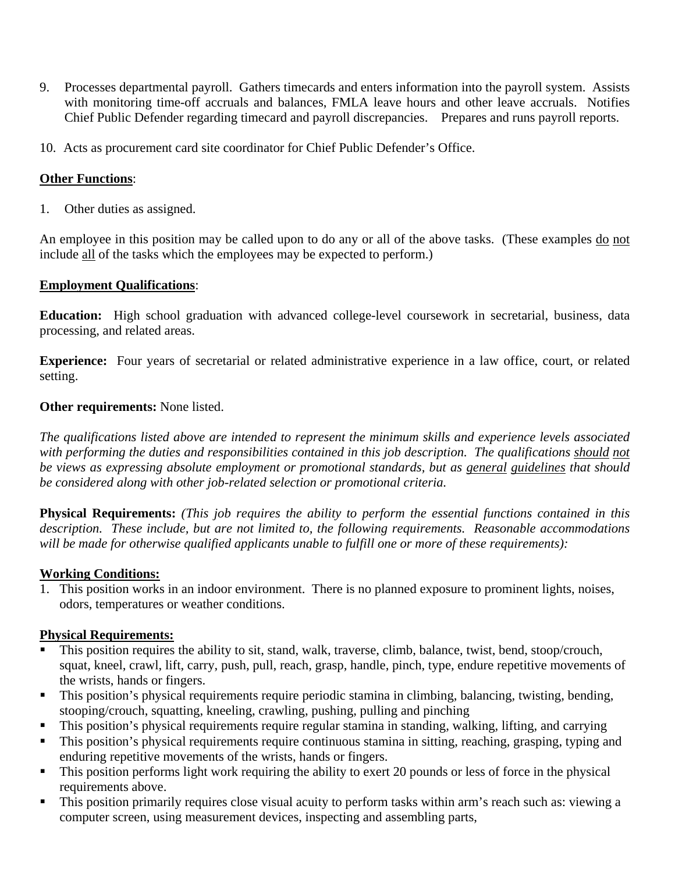- 9. Processes departmental payroll. Gathers timecards and enters information into the payroll system. Assists with monitoring time-off accruals and balances, FMLA leave hours and other leave accruals. Notifies Chief Public Defender regarding timecard and payroll discrepancies. Prepares and runs payroll reports.
- 10. Acts as procurement card site coordinator for Chief Public Defender's Office.

# **Other Functions**:

1. Other duties as assigned.

An employee in this position may be called upon to do any or all of the above tasks. (These examples do not include all of the tasks which the employees may be expected to perform.)

# **Employment Qualifications**:

**Education:** High school graduation with advanced college-level coursework in secretarial, business, data processing, and related areas.

**Experience:** Four years of secretarial or related administrative experience in a law office, court, or related setting.

# **Other requirements:** None listed.

*The qualifications listed above are intended to represent the minimum skills and experience levels associated*  with performing the duties and responsibilities contained in this job description. The qualifications should not *be views as expressing absolute employment or promotional standards, but as general guidelines that should be considered along with other job-related selection or promotional criteria.*

**Physical Requirements:** *(This job requires the ability to perform the essential functions contained in this description. These include, but are not limited to, the following requirements. Reasonable accommodations will be made for otherwise qualified applicants unable to fulfill one or more of these requirements):* 

# **Working Conditions:**

1. This position works in an indoor environment. There is no planned exposure to prominent lights, noises, odors, temperatures or weather conditions.

# **Physical Requirements:**

- This position requires the ability to sit, stand, walk, traverse, climb, balance, twist, bend, stoop/crouch, squat, kneel, crawl, lift, carry, push, pull, reach, grasp, handle, pinch, type, endure repetitive movements of the wrists, hands or fingers.
- This position's physical requirements require periodic stamina in climbing, balancing, twisting, bending, stooping/crouch, squatting, kneeling, crawling, pushing, pulling and pinching
- This position's physical requirements require regular stamina in standing, walking, lifting, and carrying
- This position's physical requirements require continuous stamina in sitting, reaching, grasping, typing and enduring repetitive movements of the wrists, hands or fingers.
- This position performs light work requiring the ability to exert 20 pounds or less of force in the physical requirements above.
- This position primarily requires close visual acuity to perform tasks within arm's reach such as: viewing a computer screen, using measurement devices, inspecting and assembling parts,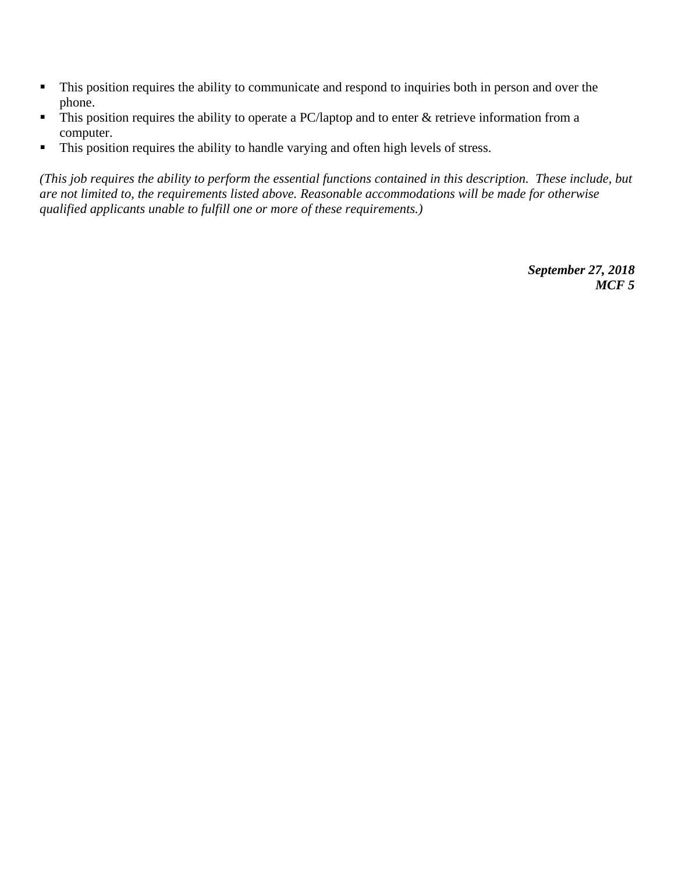- This position requires the ability to communicate and respond to inquiries both in person and over the phone.
- $\blacksquare$  This position requires the ability to operate a PC/laptop and to enter  $\&$  retrieve information from a computer.
- This position requires the ability to handle varying and often high levels of stress.

*(This job requires the ability to perform the essential functions contained in this description. These include, but are not limited to, the requirements listed above. Reasonable accommodations will be made for otherwise qualified applicants unable to fulfill one or more of these requirements.)*

> *September 27, 2018 MCF 5*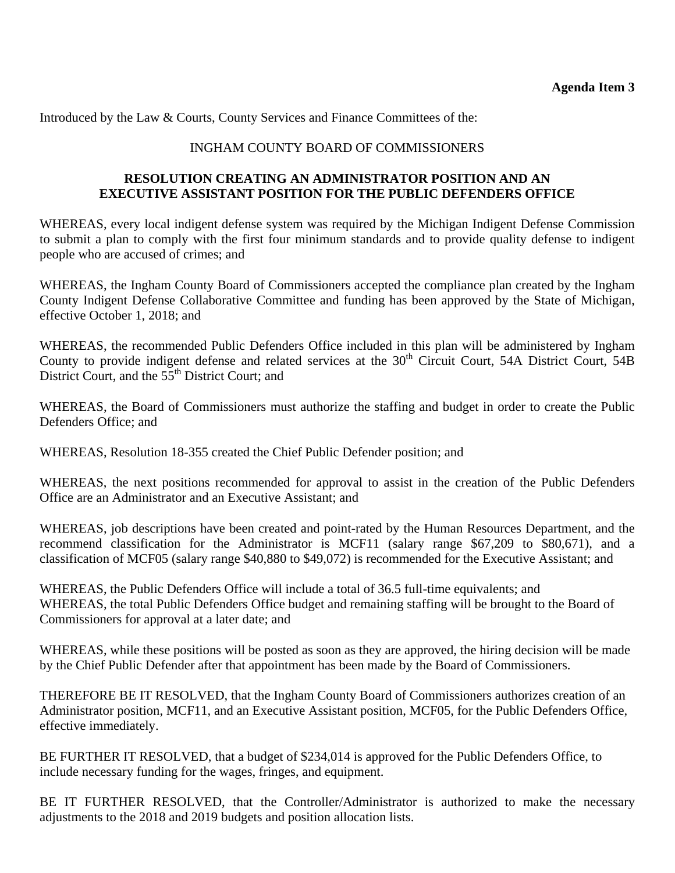Introduced by the Law & Courts, County Services and Finance Committees of the:

# INGHAM COUNTY BOARD OF COMMISSIONERS

# **RESOLUTION CREATING AN ADMINISTRATOR POSITION AND AN EXECUTIVE ASSISTANT POSITION FOR THE PUBLIC DEFENDERS OFFICE**

WHEREAS, every local indigent defense system was required by the Michigan Indigent Defense Commission to submit a plan to comply with the first four minimum standards and to provide quality defense to indigent people who are accused of crimes; and

WHEREAS, the Ingham County Board of Commissioners accepted the compliance plan created by the Ingham County Indigent Defense Collaborative Committee and funding has been approved by the State of Michigan, effective October 1, 2018; and

WHEREAS, the recommended Public Defenders Office included in this plan will be administered by Ingham County to provide indigent defense and related services at the 30<sup>th</sup> Circuit Court, 54A District Court, 54B District Court, and the 55<sup>th</sup> District Court; and

WHEREAS, the Board of Commissioners must authorize the staffing and budget in order to create the Public Defenders Office; and

WHEREAS, Resolution 18-355 created the Chief Public Defender position; and

WHEREAS, the next positions recommended for approval to assist in the creation of the Public Defenders Office are an Administrator and an Executive Assistant; and

WHEREAS, job descriptions have been created and point-rated by the Human Resources Department, and the recommend classification for the Administrator is MCF11 (salary range \$67,209 to \$80,671), and a classification of MCF05 (salary range \$40,880 to \$49,072) is recommended for the Executive Assistant; and

WHEREAS, the Public Defenders Office will include a total of 36.5 full-time equivalents; and WHEREAS, the total Public Defenders Office budget and remaining staffing will be brought to the Board of Commissioners for approval at a later date; and

WHEREAS, while these positions will be posted as soon as they are approved, the hiring decision will be made by the Chief Public Defender after that appointment has been made by the Board of Commissioners.

THEREFORE BE IT RESOLVED, that the Ingham County Board of Commissioners authorizes creation of an Administrator position, MCF11, and an Executive Assistant position, MCF05, for the Public Defenders Office, effective immediately.

BE FURTHER IT RESOLVED, that a budget of \$234,014 is approved for the Public Defenders Office, to include necessary funding for the wages, fringes, and equipment.

BE IT FURTHER RESOLVED, that the Controller/Administrator is authorized to make the necessary adjustments to the 2018 and 2019 budgets and position allocation lists.